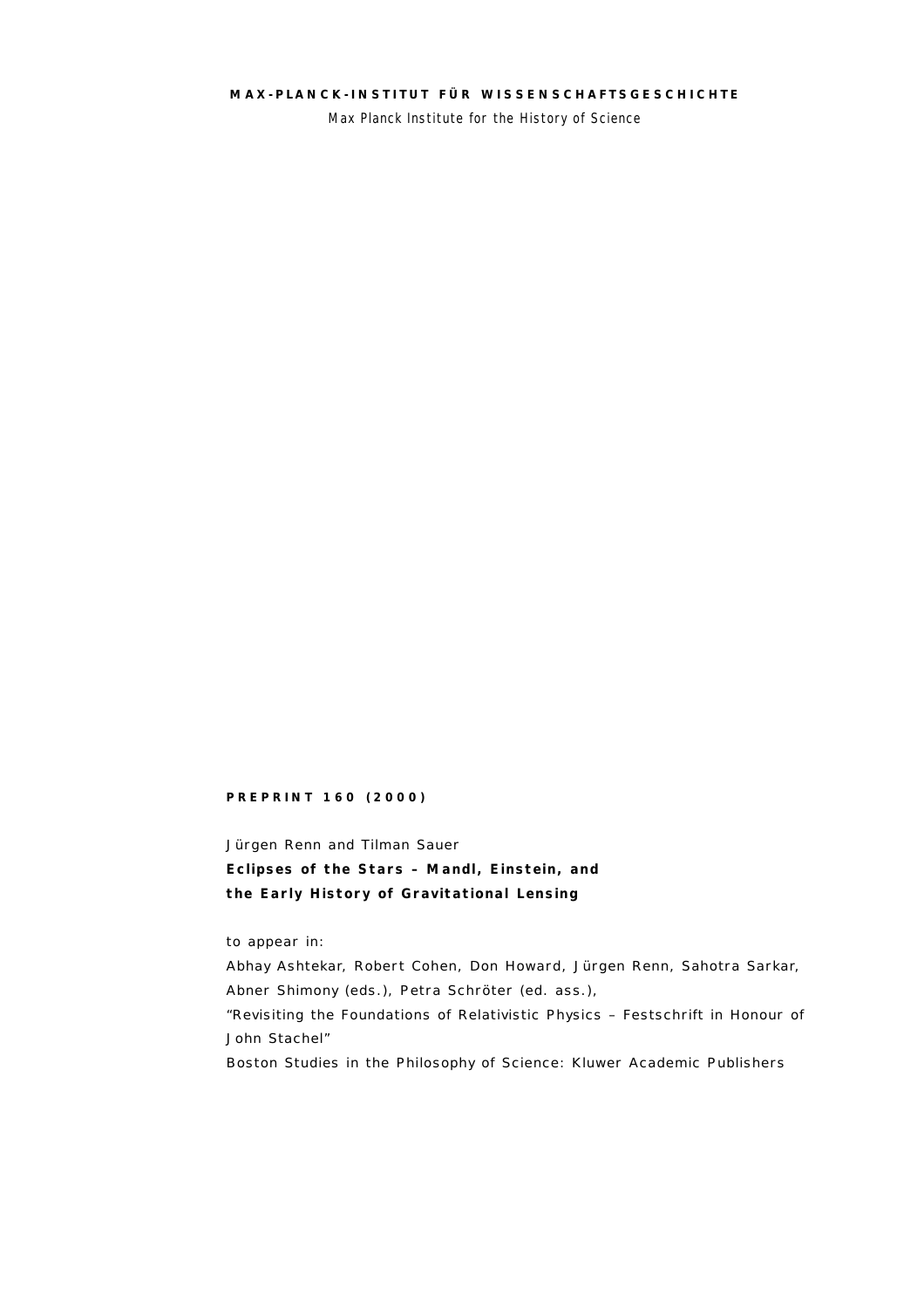#### **MAX- PLANCK- INSTITUT FÜR WISSENSCHAFTSGESCH ICHTE**

Max Planck Institute for the History of Science

#### **PREPRINT 160 (2000)**

Jürgen Renn and Tilman Sauer **Eclipses of the Stars – Mandl, Einstein, and the Early History of Gravitational Lensing**

to appear in:

Abhay Ashtekar, Robert Cohen, Don Howard, Jürgen Renn, Sahotra Sarkar, Abner Shimony (eds.), Petra Schröter (ed. ass.),

"Revisiting the Foundations of Relativistic Physics – Festschrift in Honour of John Stachel"

Boston Studies in the Philosophy of Science: Kluwer Academic Publishers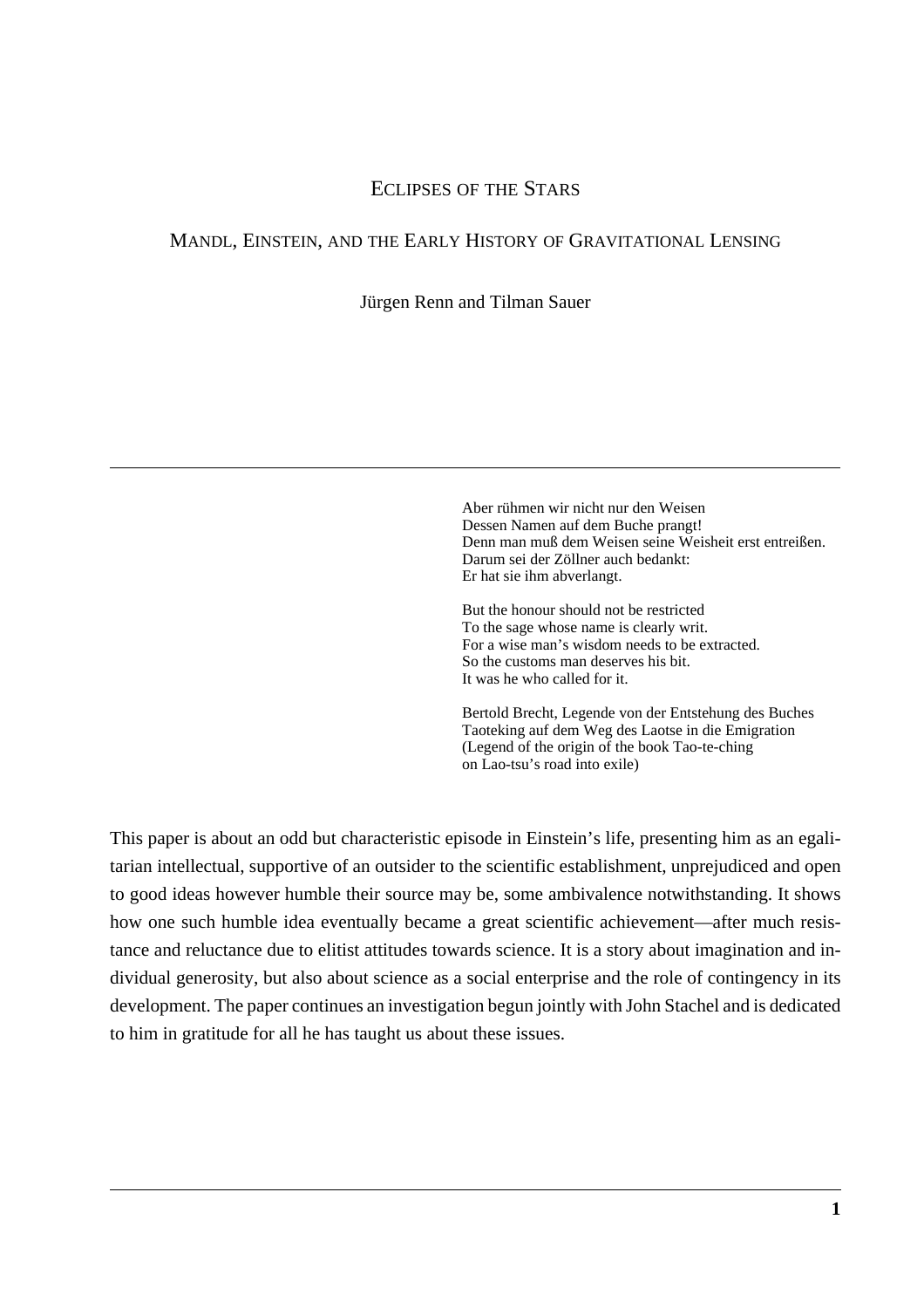# ECLIPSES OF THE STARS

## MANDL, EINSTEIN, AND THE EARLY HISTORY OF GRAVITATIONAL LENSING

#### Jürgen Renn and Tilman Sauer

Aber rühmen wir nicht nur den Weisen Dessen Namen auf dem Buche prangt! Denn man muß dem Weisen seine Weisheit erst entreißen. Darum sei der Zöllner auch bedankt: Er hat sie ihm abverlangt.

But the honour should not be restricted To the sage whose name is clearly writ. For a wise man's wisdom needs to be extracted. So the customs man deserves his bit. It was he who called for it.

Bertold Brecht, Legende von der Entstehung des Buches Taoteking auf dem Weg des Laotse in die Emigration (Legend of the origin of the book Tao-te-ching on Lao-tsu's road into exile)

This paper is about an odd but characteristic episode in Einstein's life, presenting him as an egalitarian intellectual, supportive of an outsider to the scientific establishment, unprejudiced and open to good ideas however humble their source may be, some ambivalence notwithstanding. It shows how one such humble idea eventually became a great scientific achievement—after much resistance and reluctance due to elitist attitudes towards science. It is a story about imagination and individual generosity, but also about science as a social enterprise and the role of contingency in its development. The paper continues an investigation begun jointly with John Stachel and is dedicated to him in gratitude for all he has taught us about these issues.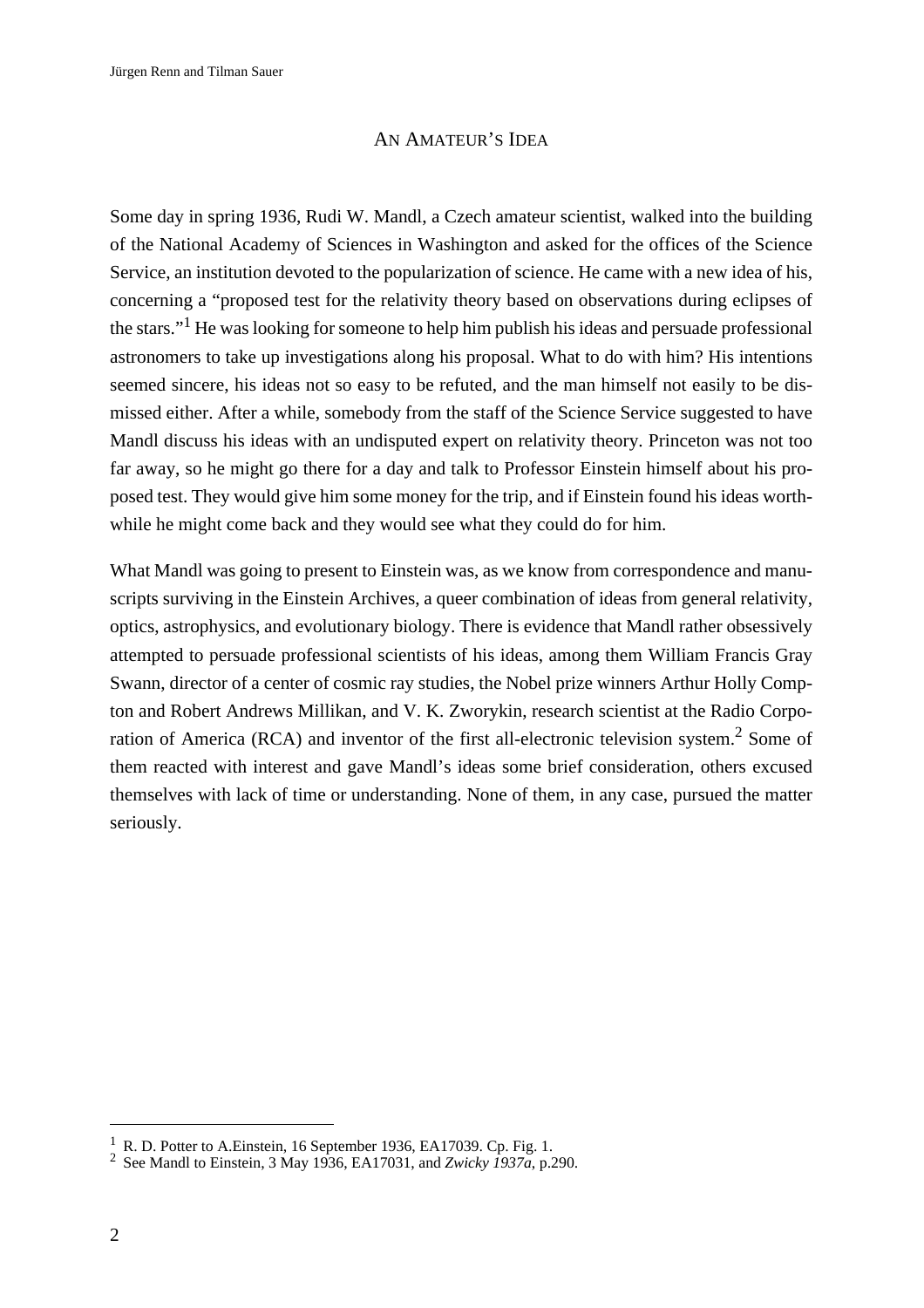# AN AMATEUR'S IDEA

Some day in spring 1936, Rudi W. Mandl, a Czech amateur scientist, walked into the building of the National Academy of Sciences in Washington and asked for the offices of the Science Service, an institution devoted to the popularization of science. He came with a new idea of his, concerning a "proposed test for the relativity theory based on observations during eclipses of the stars."1 He was looking for someone to help him publish his ideas and persuade professional astronomers to take up investigations along his proposal. What to do with him? His intentions seemed sincere, his ideas not so easy to be refuted, and the man himself not easily to be dismissed either. After a while, somebody from the staff of the Science Service suggested to have Mandl discuss his ideas with an undisputed expert on relativity theory. Princeton was not too far away, so he might go there for a day and talk to Professor Einstein himself about his proposed test. They would give him some money for the trip, and if Einstein found his ideas worthwhile he might come back and they would see what they could do for him.

What Mandl was going to present to Einstein was, as we know from correspondence and manuscripts surviving in the Einstein Archives, a queer combination of ideas from general relativity, optics, astrophysics, and evolutionary biology. There is evidence that Mandl rather obsessively attempted to persuade professional scientists of his ideas, among them William Francis Gray Swann, director of a center of cosmic ray studies, the Nobel prize winners Arthur Holly Compton and Robert Andrews Millikan, and V. K. Zworykin, research scientist at the Radio Corporation of America (RCA) and inventor of the first all-electronic television system.<sup>2</sup> Some of them reacted with interest and gave Mandl's ideas some brief consideration, others excused themselves with lack of time or understanding. None of them, in any case, pursued the matter seriously.

<sup>1</sup> R. D. Potter to A.Einstein, 16 September 1936, EA17039. Cp. Fig. 1. 2 See Mandl to Einstein, 3 May 1936, EA17031, and *Zwicky 1937a*, p.290.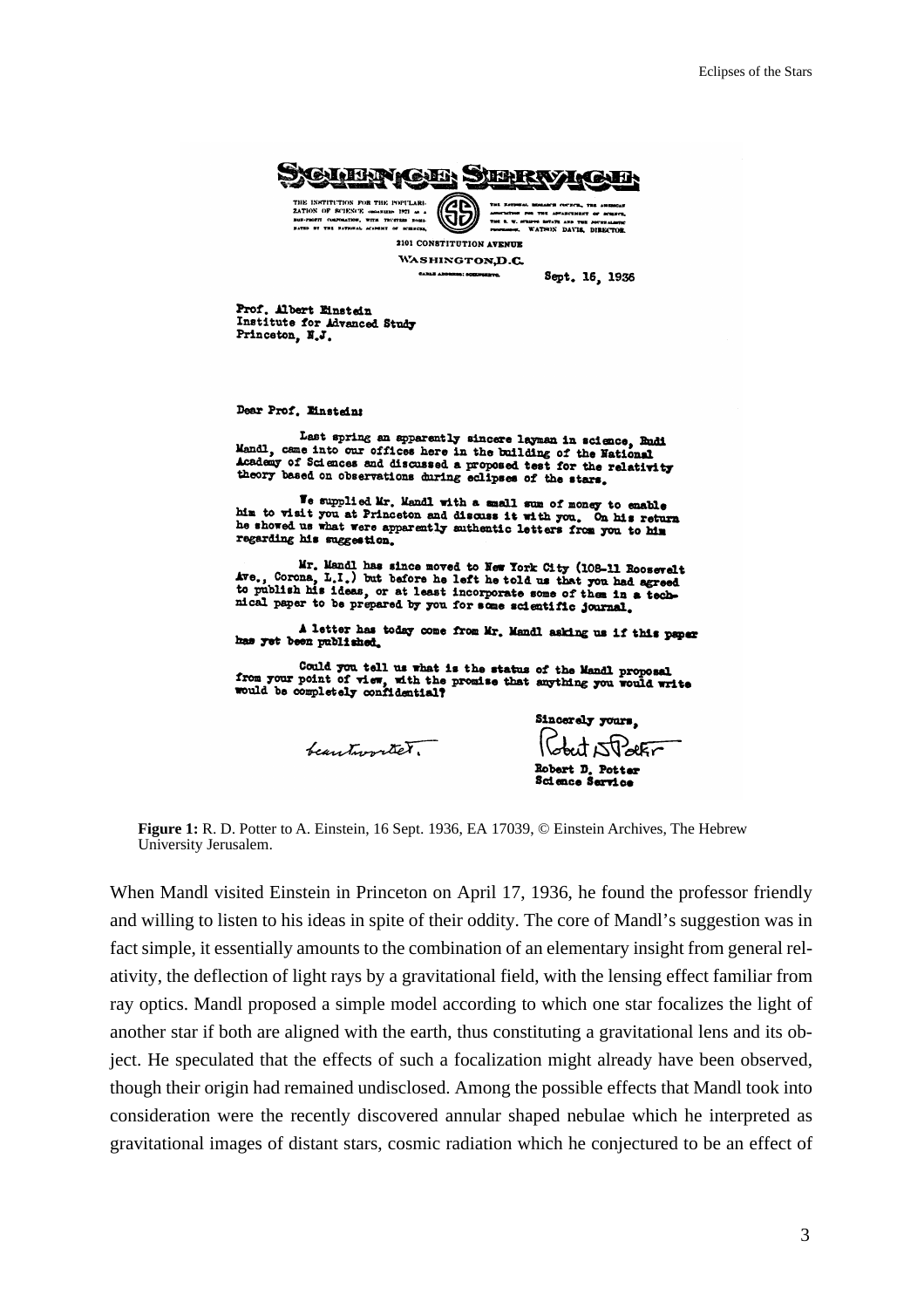

ູ່ຈັ້ເ

THE INSTITUTION FOR THE POPULARI-THE THE BULLING THE THE BULLING THE TABLE THE TABLE THAT HAS THE TABLE THAT THE TABLE THAT THE TABLE THAT THE TABLE TABLE TABLE TABLE TABLE TABLES THAT THE TABLES TABLES THAT THE TABLES TABLES TABLES TABLES TABLES TABLES T

 $\frac{1}{100}$ NIPS BULTE AND THE JOURNALISTIC

2101 CONSTITUTION AVENUE WASHINGTON.D.C.

Sept. 16, 1936

Prof. Albert Einstein Institute for Advanced Study Princeton, N.J.

Dear Prof. Einstein:

Last spring an apparently sincere layman in science, Rudi Mandl, came into our offices here in the building of the Mational Academy of Sciences and discussed a proposed test for the relativity theory hased on observations and discussed a proposed test for the relativity theory based on observations during eclipses of the stars.

We supplied Mr. Mandl with a small sum of money to enable For supplied ar, again with a small sum of money to enable<br>him to visit you at Princeton and discuss it with you. On his return<br>he showed us what were apparently suthertic letters from you to him<br>recenting his guaranties. regarding his suggestion.

Mr. Mandl has since moved to New York City (108-11 Roosevelt Ave., Corona, L.I.) but before he left he told us that you had agreed<br>to publish his ideas, or at least incorporate some of them in a tech-<br>mical name to he numerate has incorporate some of them in a techmical paper to be prepared by you for some scientific journal.

A letter has today come from Mr. Mandl asking us if this paper has yet been published.

Could you tell us what is the status of the Mandl proposal from your point of view, with the promise that anything you would write<br>would be completely confidential?

beautyportet.



**Figure 1:** R. D. Potter to A. Einstein, 16 Sept. 1936, EA 17039, © Einstein Archives, The Hebrew University Jerusalem.

When Mandl visited Einstein in Princeton on April 17, 1936, he found the professor friendly and willing to listen to his ideas in spite of their oddity. The core of Mandl's suggestion was in fact simple, it essentially amounts to the combination of an elementary insight from general relativity, the deflection of light rays by a gravitational field, with the lensing effect familiar from ray optics. Mandl proposed a simple model according to which one star focalizes the light of another star if both are aligned with the earth, thus constituting a gravitational lens and its object. He speculated that the effects of such a focalization might already have been observed, though their origin had remained undisclosed. Among the possible effects that Mandl took into consideration were the recently discovered annular shaped nebulae which he interpreted as gravitational images of distant stars, cosmic radiation which he conjectured to be an effect of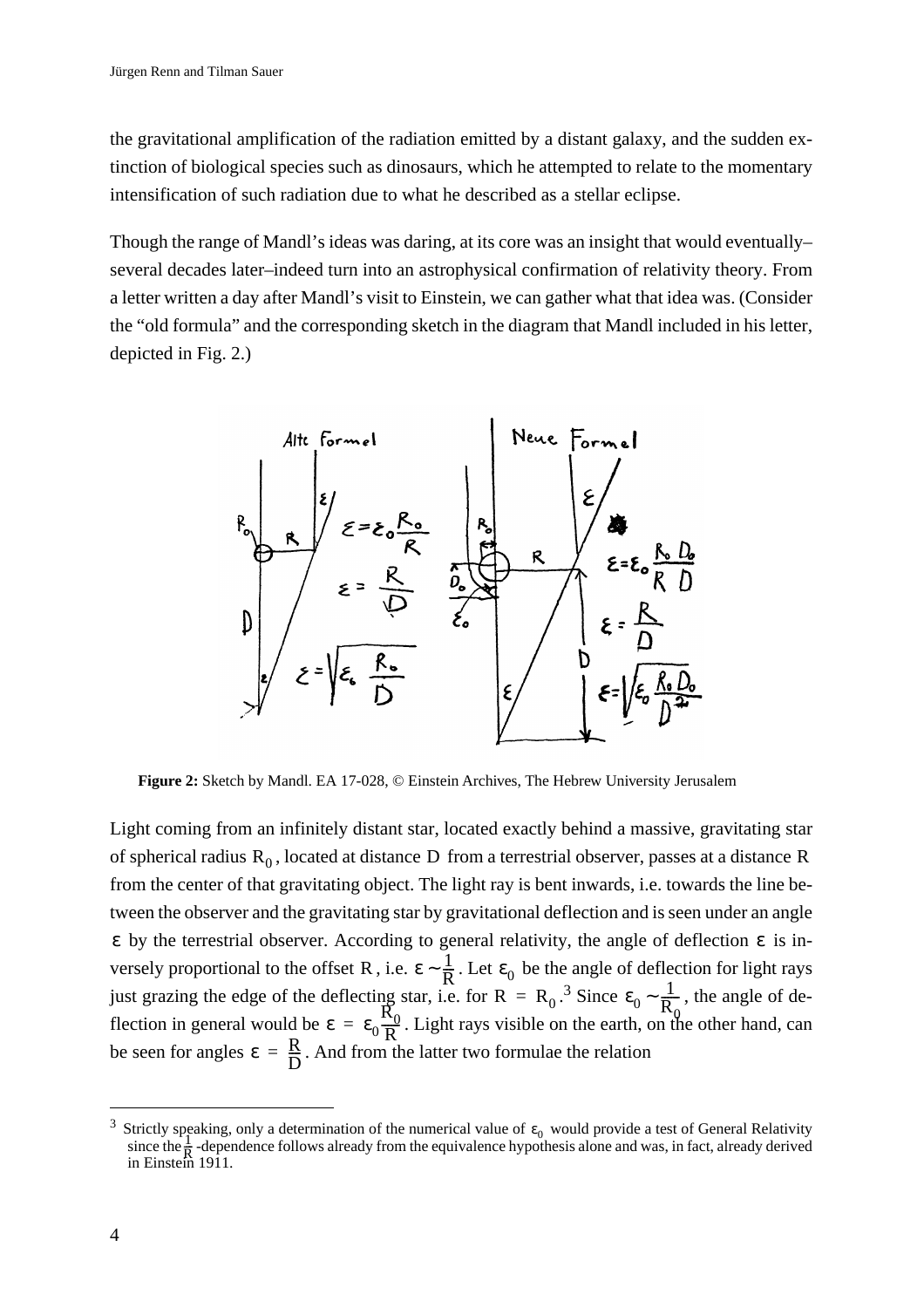the gravitational amplification of the radiation emitted by a distant galaxy, and the sudden extinction of biological species such as dinosaurs, which he attempted to relate to the momentary intensification of such radiation due to what he described as a stellar eclipse.

Though the range of Mandl's ideas was daring, at its core was an insight that would eventually– several decades later–indeed turn into an astrophysical confirmation of relativity theory. From a letter written a day after Mandl's visit to Einstein, we can gather what that idea was. (Consider the "old formula" and the corresponding sketch in the diagram that Mandl included in his letter, depicted in Fig. 2.)



**Figure 2:** Sketch by Mandl. EA 17-028, © Einstein Archives, The Hebrew University Jerusalem

Light coming from an infinitely distant star, located exactly behind a massive, gravitating star of spherical radius  $R_0$ , located at distance D from a terrestrial observer, passes at a distance R from the center of that gravitating object. The light ray is bent inwards, i.e. towards the line between the observer and the gravitating star by gravitational deflection and is seen under an angle ε by the terrestrial observer. According to general relativity, the angle of deflection  $ε$  is inversely proportional to the offset R, i.e.  $\epsilon \sim \frac{1}{R}$ . Let  $\epsilon_0$  be the angle of deflection for light rays just grazing the edge of the deflecting star, i.e. for R =  $R_0$ .<sup>3</sup> Since  $\varepsilon_0 \sim \frac{1}{R_0}$ , the angle of deflection in general would be  $\varepsilon = \varepsilon_0 \frac{R_0}{R}$ . Light rays visible on the earth, on the other hand, can be seen for angles  $\varepsilon = \frac{R}{D}$ . And from the latter two formulae the relation  $R = R_0$ <sup>3</sup> Since  $\varepsilon_0 \sim \frac{1}{R_0}$  $\sim \frac{1}{R_{\text{Q}}}$  $\varepsilon = \varepsilon_0 \frac{\breve{R}_0}{R}$ 

<sup>&</sup>lt;sup>3</sup> Strictly speaking, only a determination of the numerical value of  $\varepsilon_0$  would provide a test of General Relativity Strictly speaking, only a determination of the numerical value of  $\varepsilon_0$  would provide a test of General Relativity since the  $\frac{1}{p}$ -dependence follows already from the equivalence hypothesis alone and was, in fact, a in Einstein 1911.  $\frac{1}{R}$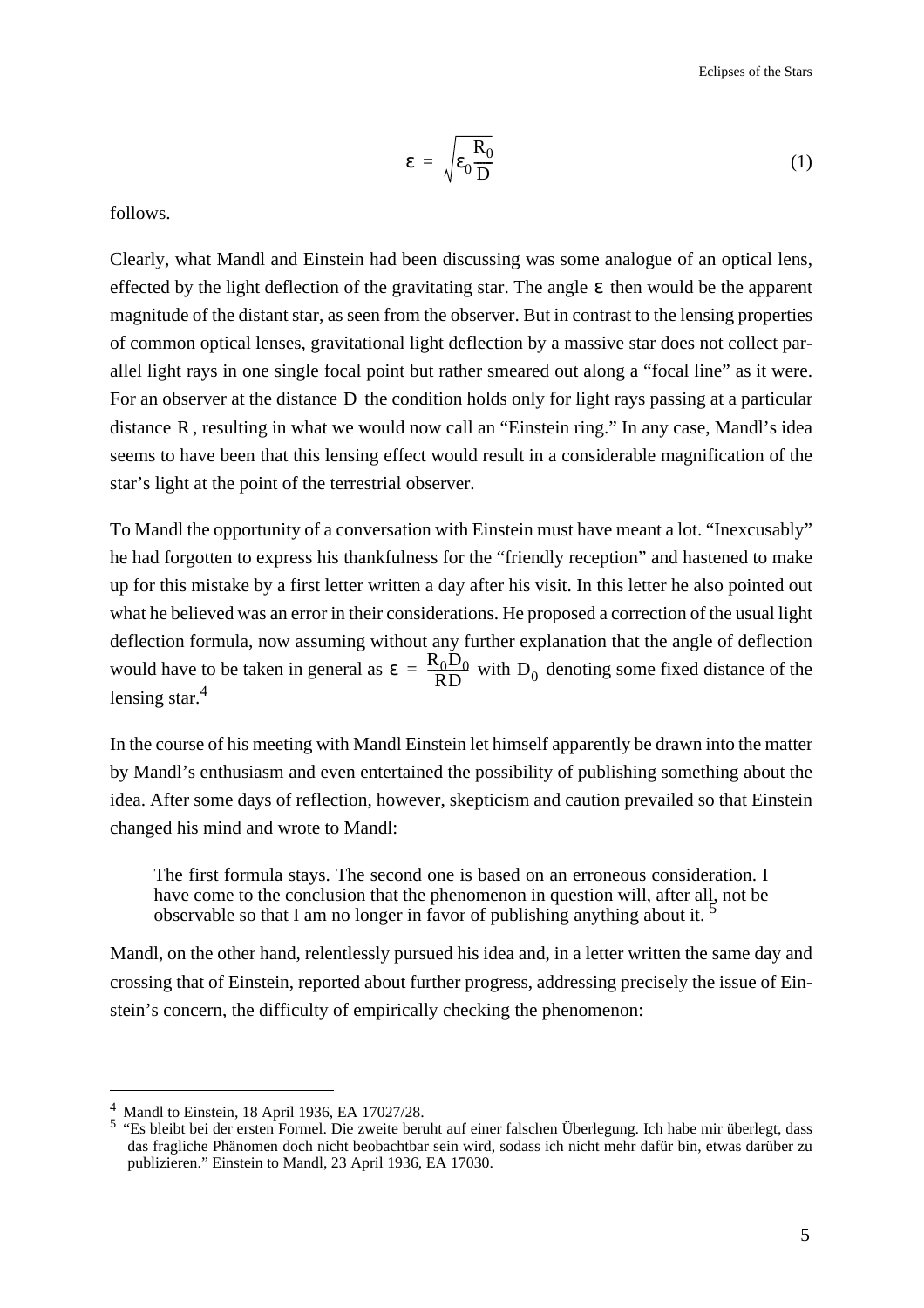$$
\varepsilon = \sqrt{\varepsilon_0 \frac{\mathbf{R}_0}{\mathbf{D}}} \tag{1}
$$

follows.

Clearly, what Mandl and Einstein had been discussing was some analogue of an optical lens, effected by the light deflection of the gravitating star. The angle  $\varepsilon$  then would be the apparent magnitude of the distant star, as seen from the observer. But in contrast to the lensing properties of common optical lenses, gravitational light deflection by a massive star does not collect parallel light rays in one single focal point but rather smeared out along a "focal line" as it were. For an observer at the distance D the condition holds only for light rays passing at a particular distance R, resulting in what we would now call an "Einstein ring." In any case, Mandl's idea seems to have been that this lensing effect would result in a considerable magnification of the star's light at the point of the terrestrial observer.

To Mandl the opportunity of a conversation with Einstein must have meant a lot. "Inexcusably" he had forgotten to express his thankfulness for the "friendly reception" and hastened to make up for this mistake by a first letter written a day after his visit. In this letter he also pointed out what he believed was an error in their considerations. He proposed a correction of the usual light deflection formula, now assuming without any further explanation that the angle of deflection would have to be taken in general as  $\varepsilon = \frac{R_0 D_0}{RD}$  with  $D_0$  denoting some fixed distance of the lensing star.<sup>4</sup>

In the course of his meeting with Mandl Einstein let himself apparently be drawn into the matter by Mandl's enthusiasm and even entertained the possibility of publishing something about the idea. After some days of reflection, however, skepticism and caution prevailed so that Einstein changed his mind and wrote to Mandl:

The first formula stays. The second one is based on an erroneous consideration. I have come to the conclusion that the phenomenon in question will, after all, not be observable so that I am no longer in favor of publishing anything about it.<sup>5</sup>

Mandl, on the other hand, relentlessly pursued his idea and, in a letter written the same day and crossing that of Einstein, reported about further progress, addressing precisely the issue of Einstein's concern, the difficulty of empirically checking the phenomenon:

<sup>&</sup>lt;sup>4</sup> Mandl to Einstein, 18 April 1936, EA 17027/28.<br><sup>5</sup> "Es bleibt bei der ersten Formel. Die zweite beruht auf einer falschen Überlegung. Ich habe mir überlegt, dass das fragliche Phänomen doch nicht beobachtbar sein wird, sodass ich nicht mehr dafür bin, etwas darüber zu publizieren." Einstein to Mandl, 23 April 1936, EA 17030.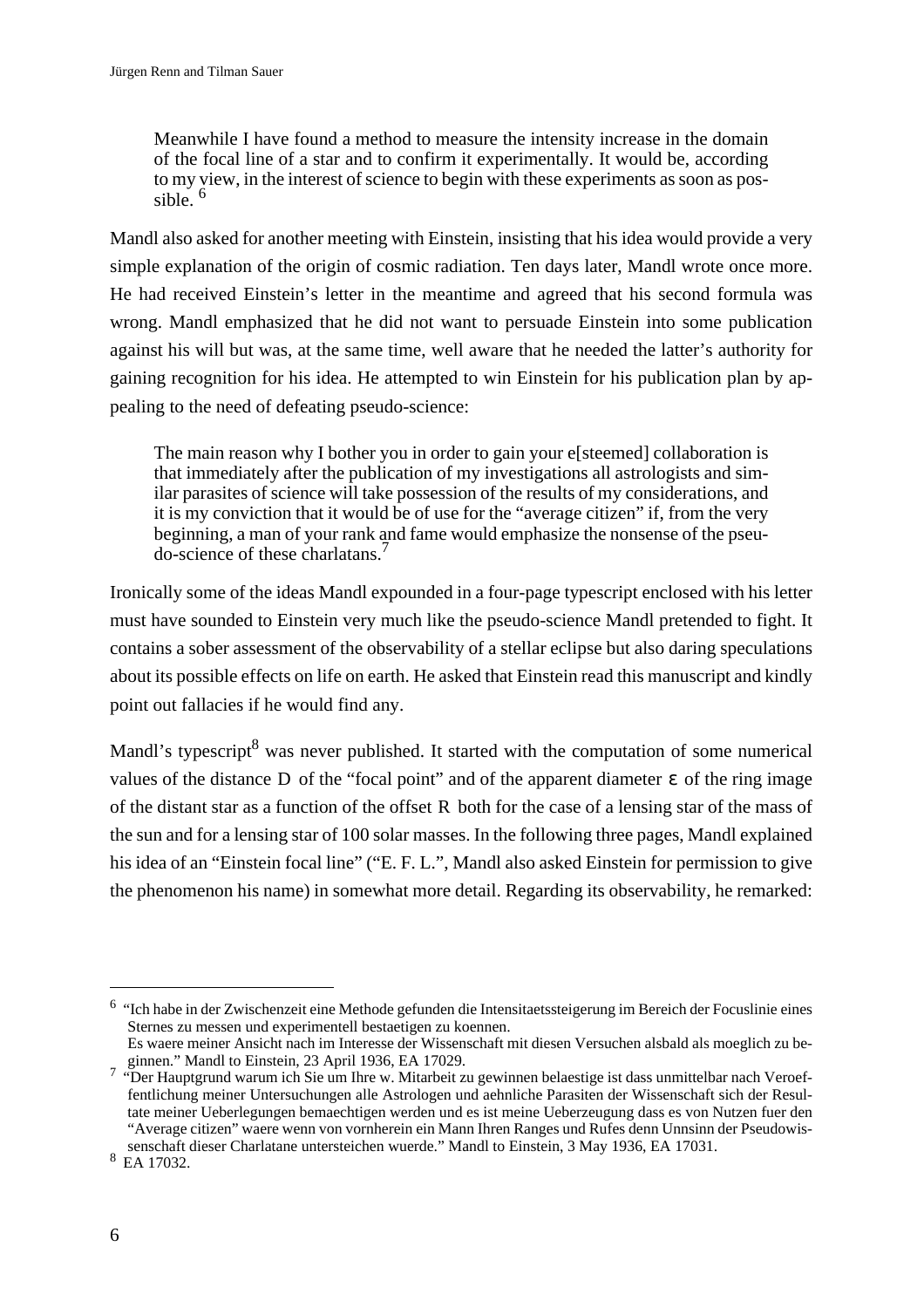Meanwhile I have found a method to measure the intensity increase in the domain of the focal line of a star and to confirm it experimentally. It would be, according to my view, in the interest of science to begin with these experiments as soon as possible.  $6$ 

Mandl also asked for another meeting with Einstein, insisting that his idea would provide a very simple explanation of the origin of cosmic radiation. Ten days later, Mandl wrote once more. He had received Einstein's letter in the meantime and agreed that his second formula was wrong. Mandl emphasized that he did not want to persuade Einstein into some publication against his will but was, at the same time, well aware that he needed the latter's authority for gaining recognition for his idea. He attempted to win Einstein for his publication plan by appealing to the need of defeating pseudo-science:

The main reason why I bother you in order to gain your e[steemed] collaboration is that immediately after the publication of my investigations all astrologists and similar parasites of science will take possession of the results of my considerations, and it is my conviction that it would be of use for the "average citizen" if, from the very beginning, a man of your rank and fame would emphasize the nonsense of the pseudo-science of these charlatans.7

Ironically some of the ideas Mandl expounded in a four-page typescript enclosed with his letter must have sounded to Einstein very much like the pseudo-science Mandl pretended to fight. It contains a sober assessment of the observability of a stellar eclipse but also daring speculations about its possible effects on life on earth. He asked that Einstein read this manuscript and kindly point out fallacies if he would find any.

Mandl's typescript<sup>8</sup> was never published. It started with the computation of some numerical values of the distance D of the "focal point" and of the apparent diameter  $\varepsilon$  of the ring image of the distant star as a function of the offset R both for the case of a lensing star of the mass of the sun and for a lensing star of 100 solar masses. In the following three pages, Mandl explained his idea of an "Einstein focal line" ("E. F. L.", Mandl also asked Einstein for permission to give the phenomenon his name) in somewhat more detail. Regarding its observability, he remarked:

<sup>6 &</sup>quot;Ich habe in der Zwischenzeit eine Methode gefunden die Intensitaetssteigerung im Bereich der Focuslinie eines Sternes zu messen und experimentell bestaetigen zu koennen. Es waere meiner Ansicht nach im Interesse der Wissenschaft mit diesen Versuchen alsbald als moeglich zu be-

ginnen." Mandl to Einstein, 23 April 1936, EA 17029.<br><sup>7</sup> "Der Hauptgrund warum ich Sie um Ihre w. Mitarbeit zu gewinnen belaestige ist dass unmittelbar nach Veroef-

fentlichung meiner Untersuchungen alle Astrologen und aehnliche Parasiten der Wissenschaft sich der Resultate meiner Ueberlegungen bemaechtigen werden und es ist meine Ueberzeugung dass es von Nutzen fuer den "Average citizen" waere wenn von vornherein ein Mann Ihren Ranges und Rufes denn Unnsinn der Pseudowissenschaft dieser Charlatane untersteichen wuerde." Mandl to Einstein, 3 May 1936, EA 17031. 8 EA 17032.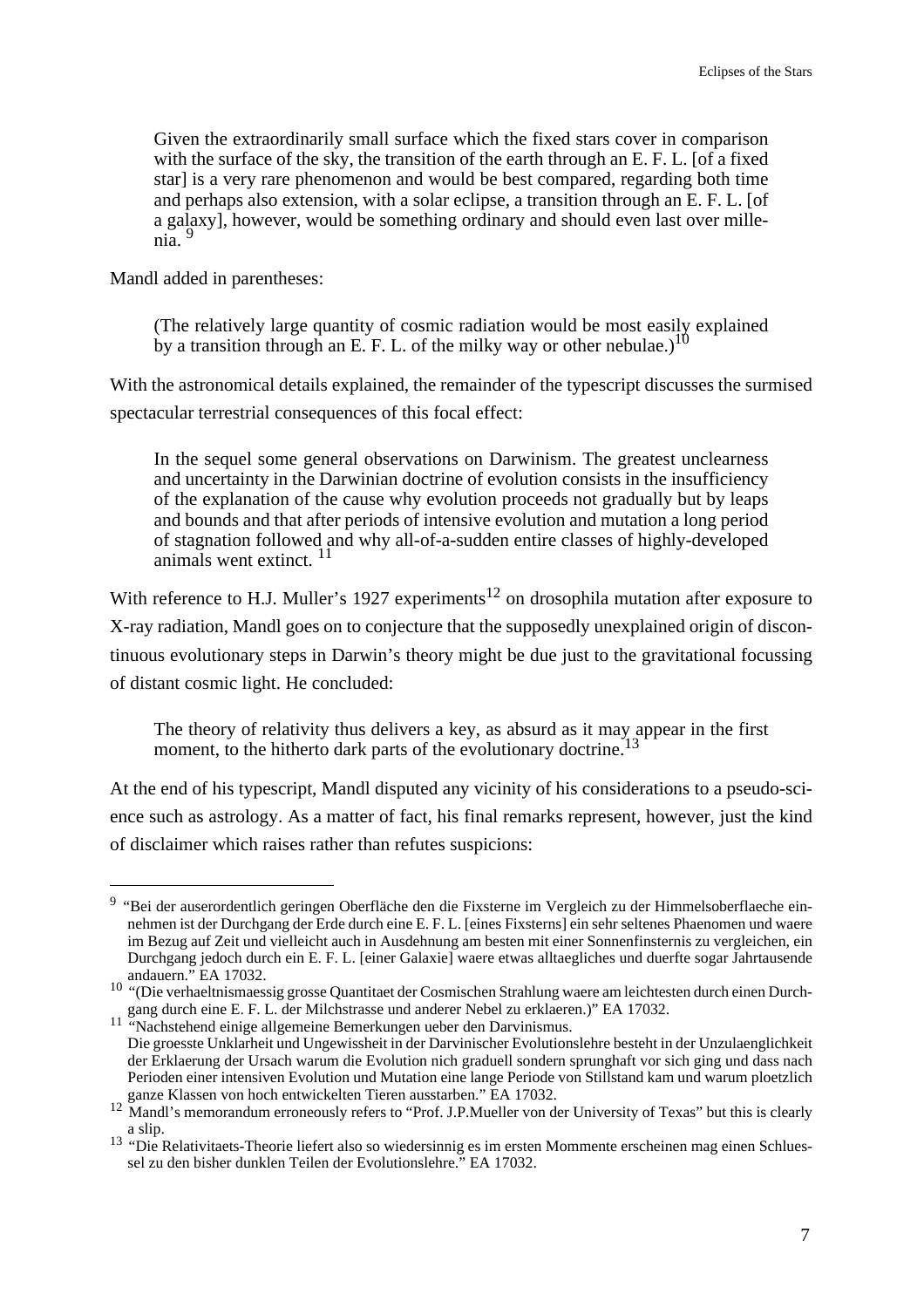Given the extraordinarily small surface which the fixed stars cover in comparison with the surface of the sky, the transition of the earth through an E. F. L. [of a fixed star] is a very rare phenomenon and would be best compared, regarding both time and perhaps also extension, with a solar eclipse, a transition through an E. F. L. [of a galaxy], however, would be something ordinary and should even last over millenia. 9

Mandl added in parentheses:

(The relatively large quantity of cosmic radiation would be most easily explained by a transition through an E. F. L. of the milky way or other nebulae.)<sup>10</sup>

With the astronomical details explained, the remainder of the typescript discusses the surmised spectacular terrestrial consequences of this focal effect:

In the sequel some general observations on Darwinism. The greatest unclearness and uncertainty in the Darwinian doctrine of evolution consists in the insufficiency of the explanation of the cause why evolution proceeds not gradually but by leaps and bounds and that after periods of intensive evolution and mutation a long period of stagnation followed and why all-of-a-sudden entire classes of highly-developed animals went extinct.  $11$ 

With reference to H.J. Muller's 1927 experiments<sup>12</sup> on drosophila mutation after exposure to X-ray radiation, Mandl goes on to conjecture that the supposedly unexplained origin of discontinuous evolutionary steps in Darwin's theory might be due just to the gravitational focussing of distant cosmic light. He concluded:

The theory of relativity thus delivers a key, as absurd as it may appear in the first moment, to the hitherto dark parts of the evolutionary doctrine.

At the end of his typescript, Mandl disputed any vicinity of his considerations to a pseudo-science such as astrology. As a matter of fact, his final remarks represent, however, just the kind of disclaimer which raises rather than refutes suspicions:

<sup>9 &</sup>quot;Bei der auserordentlich geringen Oberfläche den die Fixsterne im Vergleich zu der Himmelsoberflaeche einnehmen ist der Durchgang der Erde durch eine E. F. L. [eines Fixsterns] ein sehr seltenes Phaenomen und waere im Bezug auf Zeit und vielleicht auch in Ausdehnung am besten mit einer Sonnenfinsternis zu vergleichen, ein Durchgang jedoch durch ein E. F. L. [einer Galaxie] waere etwas alltaegliches und duerfte sogar Jahrtausende andauern." EA 17032.

<sup>10 &</sup>quot;(Die verhaeltnismaessig grosse Quantitaet der Cosmischen Strahlung waere am leichtesten durch einen Durchgang durch eine E. F. L. der Milchstrasse und anderer Nebel zu erklaeren.)" EA 17032. 11 "Nachstehend einige allgemeine Bemerkungen ueber den Darvinismus.

Die groesste Unklarheit und Ungewissheit in der Darvinischer Evolutionslehre besteht in der Unzulaenglichkeit der Erklaerung der Ursach warum die Evolution nich graduell sondern sprunghaft vor sich ging und dass nach Perioden einer intensiven Evolution und Mutation eine lange Periode von Stillstand kam und warum ploetzlich

ganze Klassen von hoch entwickelten Tieren ausstarben." EA 17032.<br><sup>12</sup> Mandl's memorandum erroneously refers to "Prof. J.P.Mueller von der University of Texas" but this is clearly

a slip. 13 "Die Relativitaets-Theorie liefert also so wiedersinnig es im ersten Mommente erscheinen mag einen Schluessel zu den bisher dunklen Teilen der Evolutionslehre." EA 17032.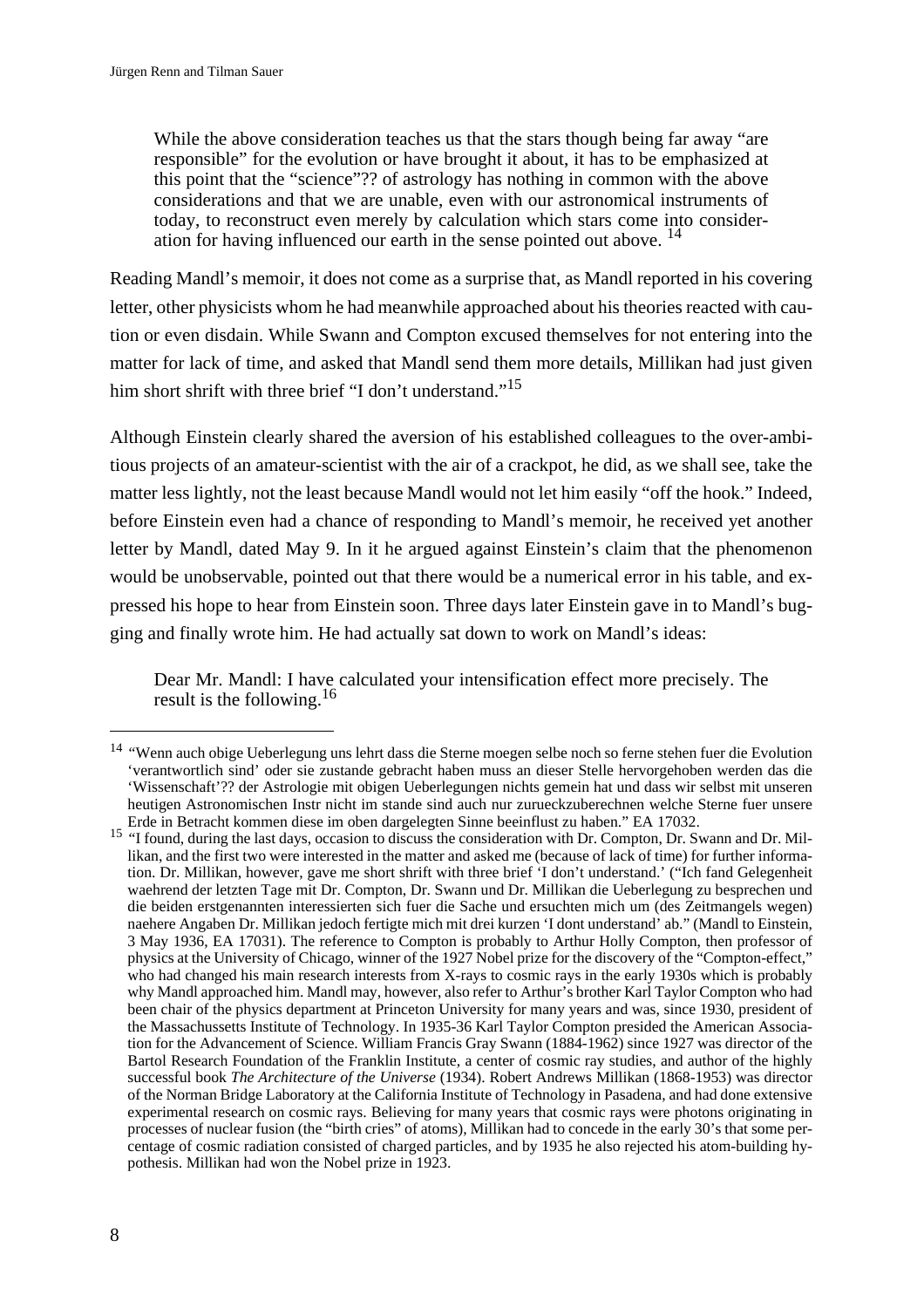While the above consideration teaches us that the stars though being far away "are responsible" for the evolution or have brought it about, it has to be emphasized at this point that the "science"?? of astrology has nothing in common with the above considerations and that we are unable, even with our astronomical instruments of today, to reconstruct even merely by calculation which stars come into consideration for having influenced our earth in the sense pointed out above. <sup>14</sup>

Reading Mandl's memoir, it does not come as a surprise that, as Mandl reported in his covering letter, other physicists whom he had meanwhile approached about his theories reacted with caution or even disdain. While Swann and Compton excused themselves for not entering into the matter for lack of time, and asked that Mandl send them more details, Millikan had just given him short shrift with three brief "I don't understand."<sup>15</sup>

Although Einstein clearly shared the aversion of his established colleagues to the over-ambitious projects of an amateur-scientist with the air of a crackpot, he did, as we shall see, take the matter less lightly, not the least because Mandl would not let him easily "off the hook." Indeed, before Einstein even had a chance of responding to Mandl's memoir, he received yet another letter by Mandl, dated May 9. In it he argued against Einstein's claim that the phenomenon would be unobservable, pointed out that there would be a numerical error in his table, and expressed his hope to hear from Einstein soon. Three days later Einstein gave in to Mandl's bugging and finally wrote him. He had actually sat down to work on Mandl's ideas:

Dear Mr. Mandl: I have calculated your intensification effect more precisely. The result is the following.<sup>16</sup>

<sup>14 &</sup>quot;Wenn auch obige Ueberlegung uns lehrt dass die Sterne moegen selbe noch so ferne stehen fuer die Evolution 'verantwortlich sind' oder sie zustande gebracht haben muss an dieser Stelle hervorgehoben werden das die 'Wissenschaft'?? der Astrologie mit obigen Ueberlegungen nichts gemein hat und dass wir selbst mit unseren heutigen Astronomischen Instr nicht im stande sind auch nur zurueckzuberechnen welche Sterne fuer unsere Erde in Betracht kommen diese im oben dargelegten Sinne beeinflust zu haben." EA 17032.

Erde in Betracht kommen diese in oben dargelegten Sinne beemstel zu haben. The sinne and Dr. Mil-<br><sup>15</sup> "I found, during the last days, occasion to discuss the consideration with Dr. Compton, Dr. Swann and Dr. Millikan, and the first two were interested in the matter and asked me (because of lack of time) for further information. Dr. Millikan, however, gave me short shrift with three brief 'I don't understand.' ("Ich fand Gelegenheit waehrend der letzten Tage mit Dr. Compton, Dr. Swann und Dr. Millikan die Ueberlegung zu besprechen und die beiden erstgenannten interessierten sich fuer die Sache und ersuchten mich um (des Zeitmangels wegen) naehere Angaben Dr. Millikan jedoch fertigte mich mit drei kurzen 'I dont understand' ab." (Mandl to Einstein, 3 May 1936, EA 17031). The reference to Compton is probably to Arthur Holly Compton, then professor of physics at the University of Chicago, winner of the 1927 Nobel prize for the discovery of the "Compton-effect," who had changed his main research interests from X-rays to cosmic rays in the early 1930s which is probably why Mandl approached him. Mandl may, however, also refer to Arthur's brother Karl Taylor Compton who had been chair of the physics department at Princeton University for many years and was, since 1930, president of the Massachussetts Institute of Technology. In 1935-36 Karl Taylor Compton presided the American Association for the Advancement of Science. William Francis Gray Swann (1884-1962) since 1927 was director of the Bartol Research Foundation of the Franklin Institute, a center of cosmic ray studies, and author of the highly successful book *The Architecture of the Universe* (1934). Robert Andrews Millikan (1868-1953) was director of the Norman Bridge Laboratory at the California Institute of Technology in Pasadena, and had done extensive experimental research on cosmic rays. Believing for many years that cosmic rays were photons originating in processes of nuclear fusion (the "birth cries" of atoms), Millikan had to concede in the early 30's that some percentage of cosmic radiation consisted of charged particles, and by 1935 he also rejected his atom-building hypothesis. Millikan had won the Nobel prize in 1923.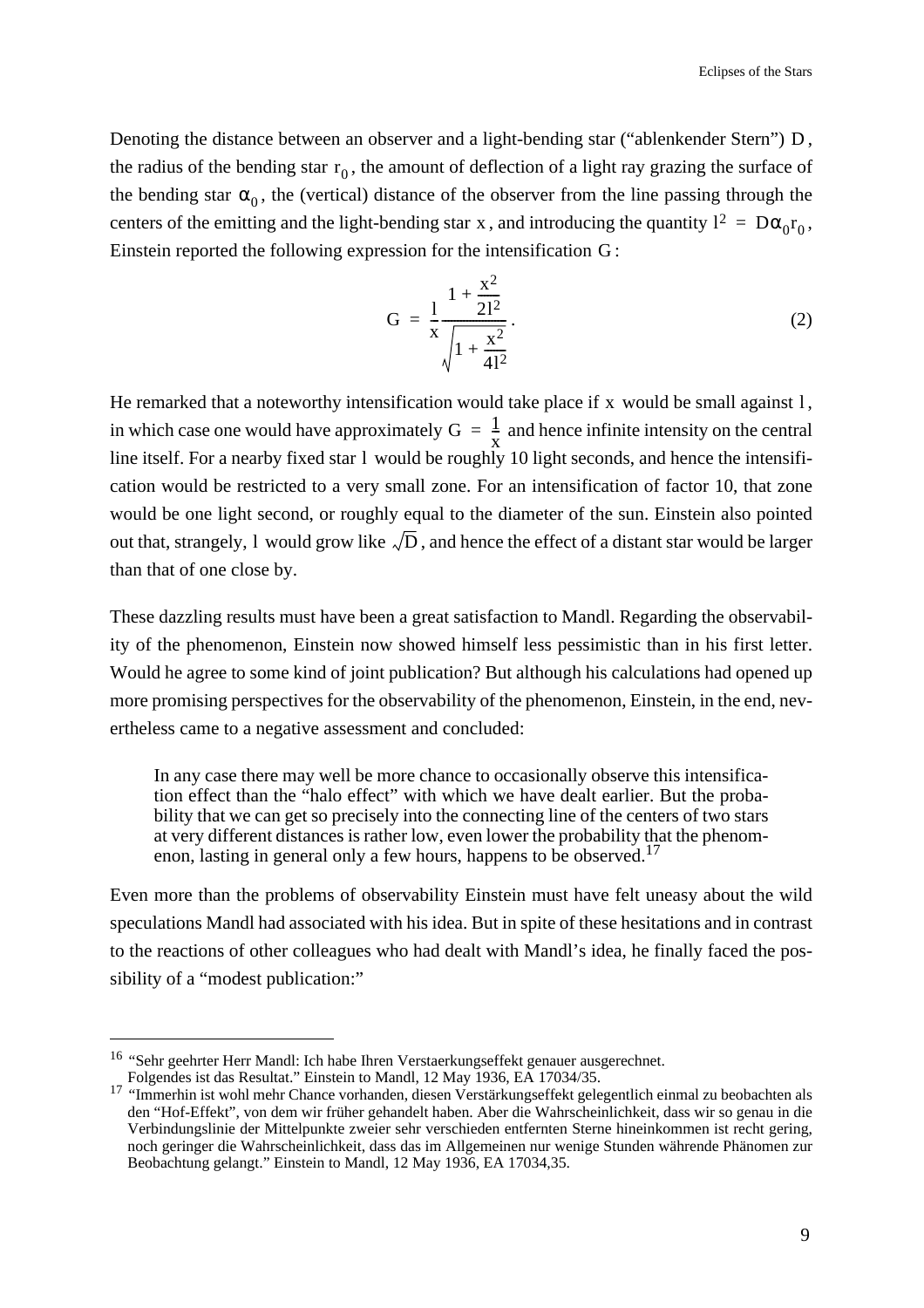Denoting the distance between an observer and a light-bending star ("ablenkender Stern") D, the radius of the bending star  $r_0$ , the amount of deflection of a light ray grazing the surface of the bending star  $\alpha_0$ , the (vertical) distance of the observer from the line passing through the centers of the emitting and the light-bending star x, and introducing the quantity  $1^2 = D\alpha_0 r_0$ , Einstein reported the following expression for the intensification  $G$ :

$$
G = \frac{1}{x} \frac{1 + \frac{x^2}{21^2}}{\sqrt{1 + \frac{x^2}{41^2}}}.
$$
 (2)

He remarked that a noteworthy intensification would take place if  $x$  would be small against  $l$ , in which case one would have approximately  $G = \frac{1}{x}$  and hence infinite intensity on the central line itself. For a nearby fixed star 1 would be roughly 10 light seconds, and hence the intensification would be restricted to a very small zone. For an intensification of factor 10, that zone would be one light second, or roughly equal to the diameter of the sun. Einstein also pointed out that, strangely, 1 would grow like  $\sqrt{\rm D}$  , and hence the effect of a distant star would be larger than that of one close by.

These dazzling results must have been a great satisfaction to Mandl. Regarding the observability of the phenomenon, Einstein now showed himself less pessimistic than in his first letter. Would he agree to some kind of joint publication? But although his calculations had opened up more promising perspectives for the observability of the phenomenon, Einstein, in the end, nevertheless came to a negative assessment and concluded:

In any case there may well be more chance to occasionally observe this intensification effect than the "halo effect" with which we have dealt earlier. But the probability that we can get so precisely into the connecting line of the centers of two stars at very different distances is rather low, even lower the probability that the phenomenon, lasting in general only a few hours, happens to be observed.<sup>17</sup>

Even more than the problems of observability Einstein must have felt uneasy about the wild speculations Mandl had associated with his idea. But in spite of these hesitations and in contrast to the reactions of other colleagues who had dealt with Mandl's idea, he finally faced the possibility of a "modest publication:"

<sup>&</sup>lt;sup>16</sup> "Sehr geehrter Herr Mandl: Ich habe Ihren Verstaerkungseffekt genauer ausgerechnet.

Folgendes ist das Resultat." Einstein to Mandl, 12 May 1936, EA 17034/35. <sup>17</sup> "Immerhin ist wohl mehr Chance vorhanden, diesen Verstärkungseffekt gelegentlich einmal zu beobachten als den "Hof-Effekt", von dem wir früher gehandelt haben. Aber die Wahrscheinlichkeit, dass wir so genau in die Verbindungslinie der Mittelpunkte zweier sehr verschieden entfernten Sterne hineinkommen ist recht gering, noch geringer die Wahrscheinlichkeit, dass das im Allgemeinen nur wenige Stunden währende Phänomen zur Beobachtung gelangt." Einstein to Mandl, 12 May 1936, EA 17034,35.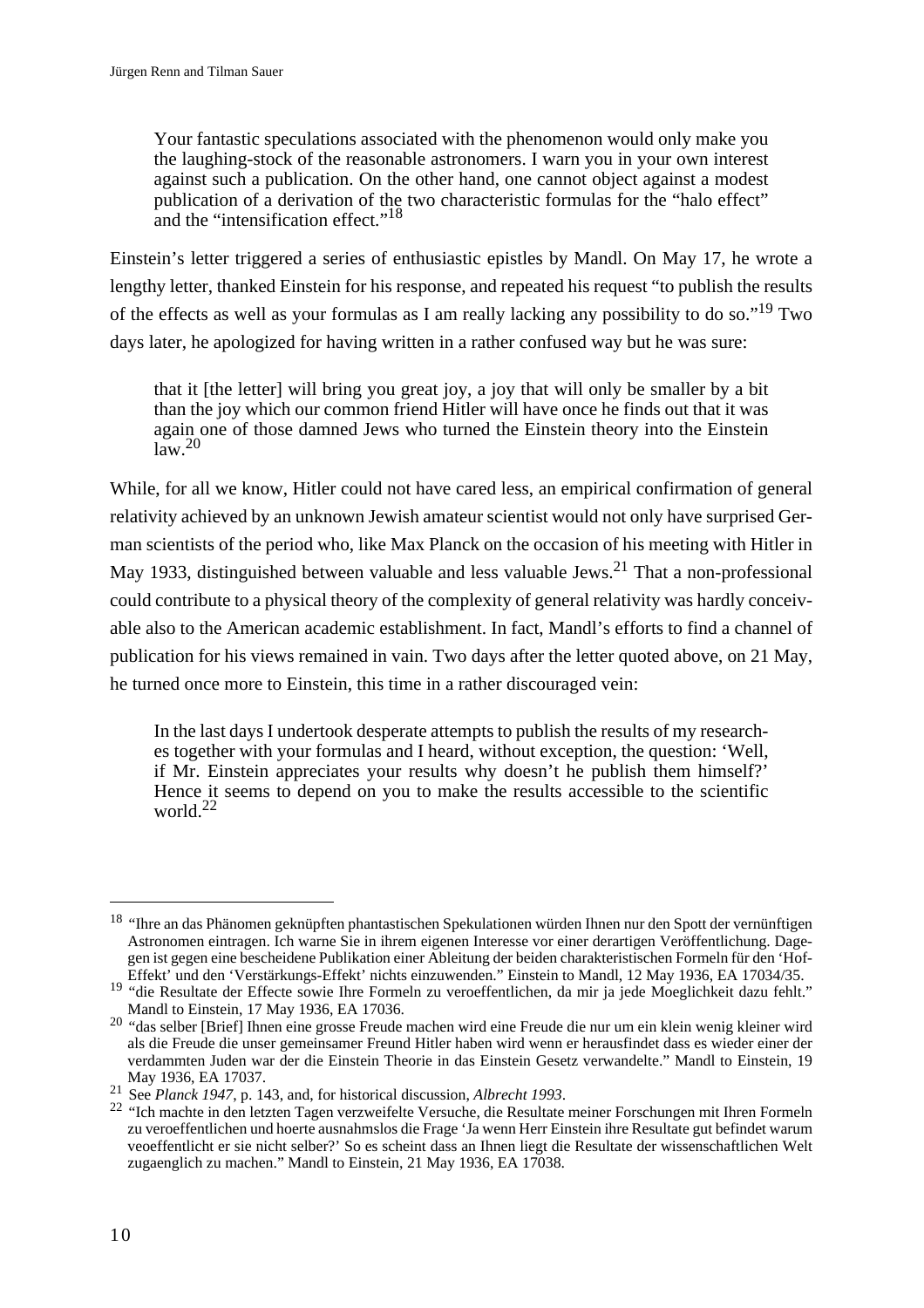Your fantastic speculations associated with the phenomenon would only make you the laughing-stock of the reasonable astronomers. I warn you in your own interest against such a publication. On the other hand, one cannot object against a modest publication of a derivation of the two characteristic formulas for the "halo effect" and the "intensification effect."<sup>18</sup>

Einstein's letter triggered a series of enthusiastic epistles by Mandl. On May 17, he wrote a lengthy letter, thanked Einstein for his response, and repeated his request "to publish the results of the effects as well as your formulas as I am really lacking any possibility to do so."19 Two days later, he apologized for having written in a rather confused way but he was sure:

that it [the letter] will bring you great joy, a joy that will only be smaller by a bit than the joy which our common friend Hitler will have once he finds out that it was again one of those damned Jews who turned the Einstein theory into the Einstein  $\log^{20}$ 

While, for all we know, Hitler could not have cared less, an empirical confirmation of general relativity achieved by an unknown Jewish amateur scientist would not only have surprised German scientists of the period who, like Max Planck on the occasion of his meeting with Hitler in May 1933, distinguished between valuable and less valuable Jews.<sup>21</sup> That a non-professional could contribute to a physical theory of the complexity of general relativity was hardly conceivable also to the American academic establishment. In fact, Mandl's efforts to find a channel of publication for his views remained in vain. Two days after the letter quoted above, on 21 May, he turned once more to Einstein, this time in a rather discouraged vein:

In the last days I undertook desperate attempts to publish the results of my researches together with your formulas and I heard, without exception, the question: 'Well, if Mr. Einstein appreciates your results why doesn't he publish them himself?' Hence it seems to depend on you to make the results accessible to the scientific world.22

<sup>18 &</sup>quot;Ihre an das Phänomen geknüpften phantastischen Spekulationen würden Ihnen nur den Spott der vernünftigen Astronomen eintragen. Ich warne Sie in ihrem eigenen Interesse vor einer derartigen Veröffentlichung. Dagegen ist gegen eine bescheidene Publikation einer Ableitung der beiden charakteristischen Formeln für den 'Hof-<br>Effekt' und den 'Verstärkungs-Effekt' nichts einzuwenden." Einstein to Mandl, 12 May 1936, EA 17034/35.

Effekt' und den 'Verstärkungs-Effekt' nichts einzuwenden." Einstein to Mandl, 12 May 1936, EA 17034/35. 19 "die Resultate der Effecte sowie Ihre Formeln zu veroeffentlichen, da mir ja jede Moeglichkeit dazu fehlt."

Mandl to Einstein, 17 May 1936, EA 17036.<br><sup>20</sup> "das selber [Brief] Ihnen eine grosse Freude machen wird eine Freude die nur um ein klein wenig kleiner wird als die Freude die unser gemeinsamer Freund Hitler haben wird wenn er herausfindet dass es wieder einer der verdammten Juden war der die Einstein Theorie in das Einstein Gesetz verwandelte." Mandl to Einstein, 19

May 1936, EA 17037. 21 See *Planck 1947*, p. 143, and, for historical discussion, *Albrecht 1993*. 22 "Ich machte in den letzten Tagen verzweifelte Versuche, die Resultate meiner Forschungen mit Ihren Formeln zu veroeffentlichen und hoerte ausnahmslos die Frage 'Ja wenn Herr Einstein ihre Resultate gut befindet warum veoeffentlicht er sie nicht selber?' So es scheint dass an Ihnen liegt die Resultate der wissenschaftlichen Welt zugaenglich zu machen." Mandl to Einstein, 21 May 1936, EA 17038.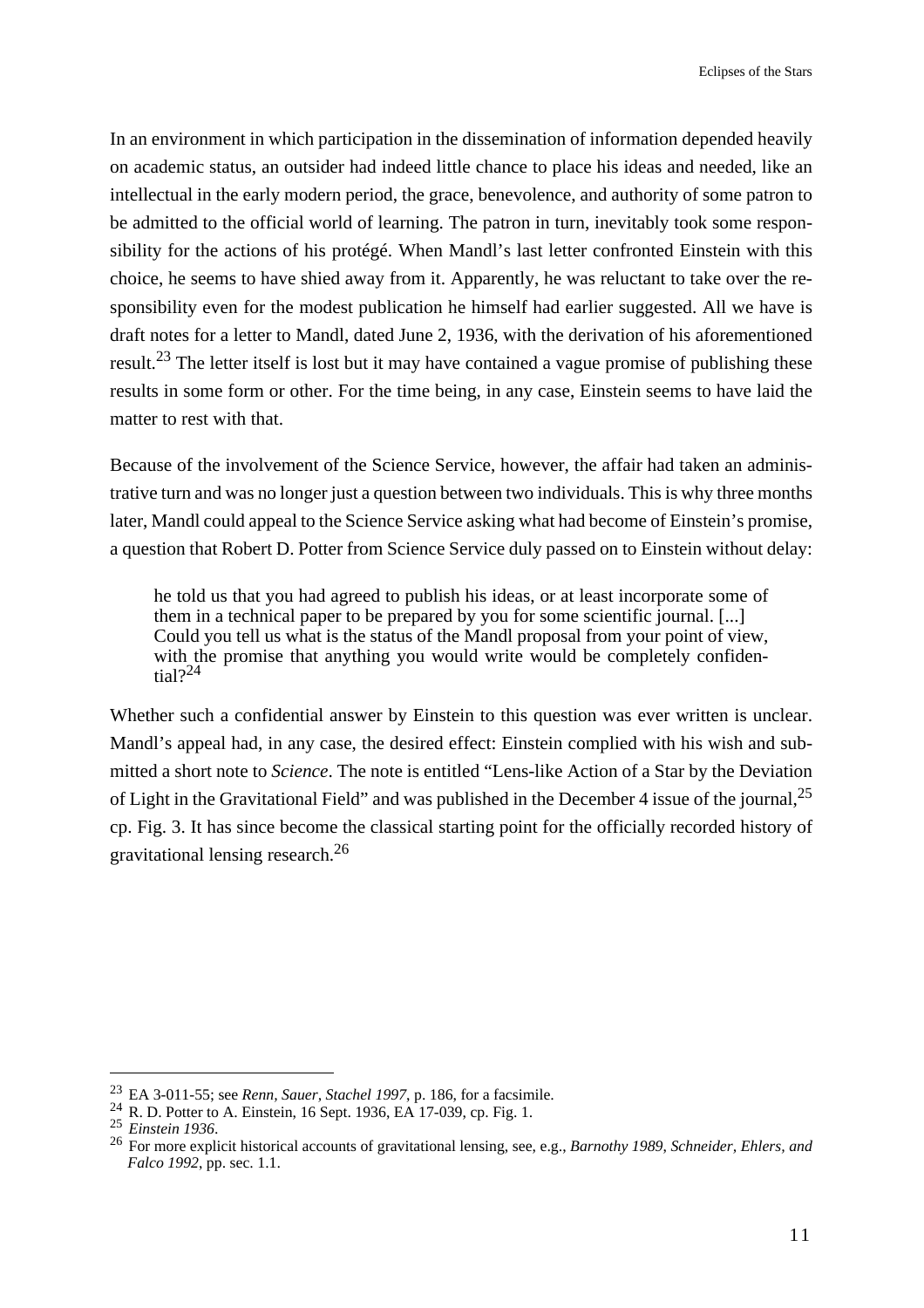In an environment in which participation in the dissemination of information depended heavily on academic status, an outsider had indeed little chance to place his ideas and needed, like an intellectual in the early modern period, the grace, benevolence, and authority of some patron to be admitted to the official world of learning. The patron in turn, inevitably took some responsibility for the actions of his protégé. When Mandl's last letter confronted Einstein with this choice, he seems to have shied away from it. Apparently, he was reluctant to take over the responsibility even for the modest publication he himself had earlier suggested. All we have is draft notes for a letter to Mandl, dated June 2, 1936, with the derivation of his aforementioned result.<sup>23</sup> The letter itself is lost but it may have contained a vague promise of publishing these results in some form or other. For the time being, in any case, Einstein seems to have laid the matter to rest with that.

Because of the involvement of the Science Service, however, the affair had taken an administrative turn and was no longer just a question between two individuals. This is why three months later, Mandl could appeal to the Science Service asking what had become of Einstein's promise, a question that Robert D. Potter from Science Service duly passed on to Einstein without delay:

he told us that you had agreed to publish his ideas, or at least incorporate some of them in a technical paper to be prepared by you for some scientific journal. [...] Could you tell us what is the status of the Mandl proposal from your point of view, with the promise that anything you would write would be completely confiden- $\text{trial}$ <sup>24</sup>

Whether such a confidential answer by Einstein to this question was ever written is unclear. Mandl's appeal had, in any case, the desired effect: Einstein complied with his wish and submitted a short note to *Science*. The note is entitled "Lens-like Action of a Star by the Deviation of Light in the Gravitational Field" and was published in the December 4 issue of the journal,  $2^5$ cp. Fig. 3. It has since become the classical starting point for the officially recorded history of gravitational lensing research.26

<sup>&</sup>lt;sup>23</sup> EA 3-011-55; see *Renn*, *Sauer*, *Stachel 1997*, p. 186, for a facsimile.<br><sup>24</sup> R. D. Potter to A. Einstein, 16 Sept. 1936, EA 17-039, cp. Fig. 1.<br><sup>25</sup> *Einstein 1936*.<br><sup>26</sup> For more explicit historical accounts of g *Falco 1992*, pp. sec. 1.1.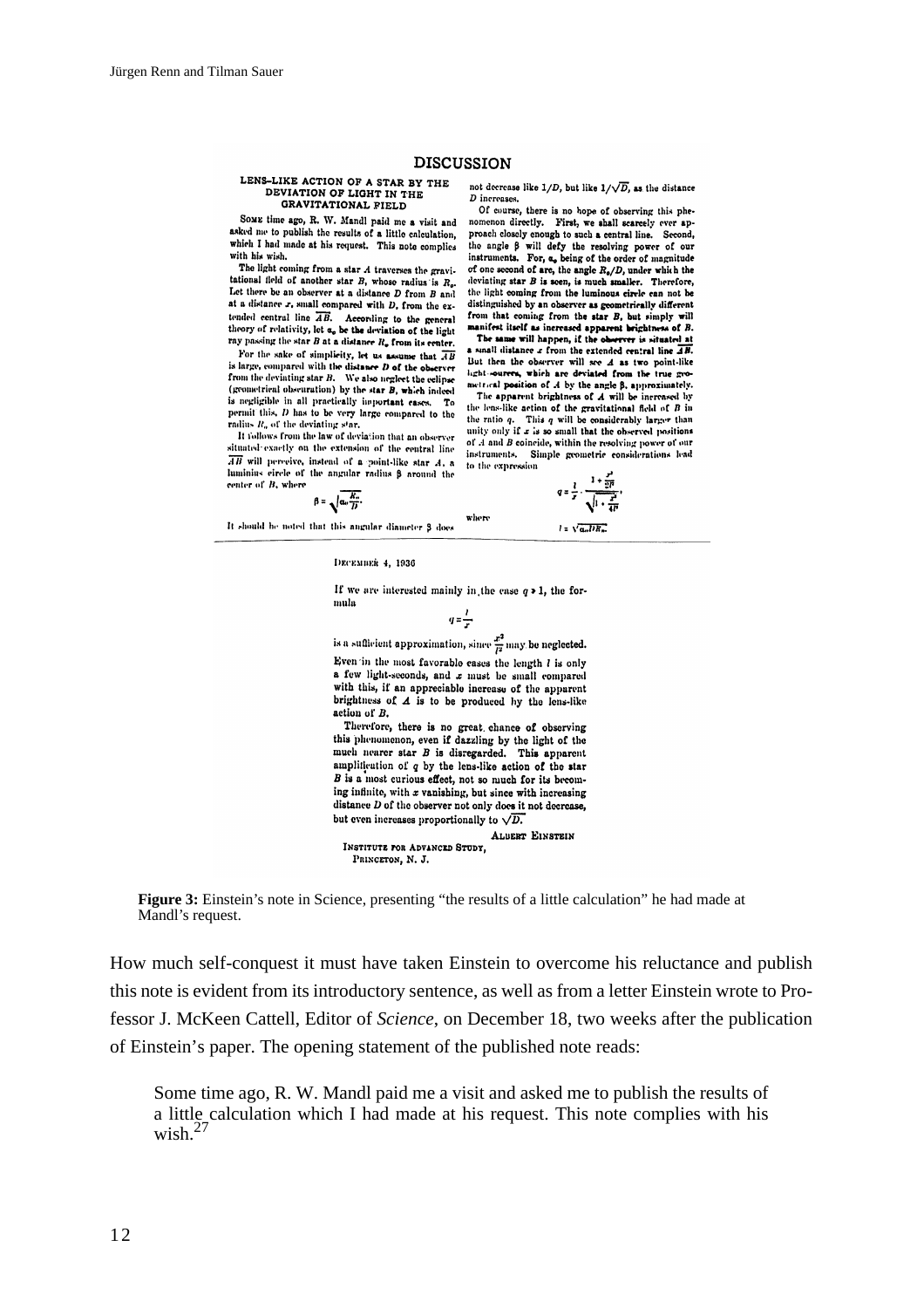#### **DISCUSSION**

#### LENS-LIKE ACTION OF A STAR BY THE DEVIATION OF LIGHT IN THE GRAVITATIONAL FIELD

Some time ago, R. W. Mandl paid me a visit and asked me to publish the results of a little calculation, which I had made at his request. This note complies with his wish.

The light coming from a star A traverses the gravitational field of another star B, whose radius is R<sub>o</sub>.<br>Let there be an observer at a distance D from B and at a distance  $x$ , small compared with  $D$ , from the extended central line  $\overline{AB}$ . According to the general theory of relativity, let  $\alpha_o$  be the deviation of the light ray passing the star B at a distance  $R<sub>e</sub>$  from its center.

For the sake of simplicity, let us assume that  $\overline{AB}$ is large, compared with the distance D of the observer is arge, compared with the distance  $D$  of the observer<br>from the deviating star  $B$ . We also neglect the celipse<br>(geometrical obseuration) by the star  $B$ , which indeed is negligible in all practically important cases. To permit this, D has to be very large compared to the radius R<sub>n</sub> of the deviating star.

It follows from the law of deviation that an observer situated exactly on the extension of the central line  $\overline{AB}$  will perceive, instead of a point-like star A, a luminius circle of the angular radius  $\beta$  around the center of B, where

 $\beta = \sqrt{\alpha_0 \frac{R_0}{D}}$ 

not decrease like  $1/D$ , but like  $1/\sqrt{D}$ , as the distance  $D$  increases.

Of course, there is no hope of observing this phenomenon directly. First, we shall scarcely ever approach closely enough to such a central line. Second, the angle  $\beta$  will defy the resolving power of our instruments. For,  $a_0$  being of the order of magnitude of one second of arc, the angle  $R_o/D$ , under which the deviating star  $B$  is seen, is much smaller. Therefore, the light coming from the luminous circle can not be distinguished by an observer as geometrically different from that coming from the star B, but simply will manifest itself as increased apparent brightness of B.

The same will happen, if the observer is situated at a small distance  $x$  from the extended central line  $\overline{AB}$ . But then the observer will see  $\Delta$  as two point-like light-sources, which are deviated from the true geometrical position of A by the angle B, approximately.

The apparent brightness of A will be increased by the lens-like action of the gravitational field of B in the ratio  $q$ . This  $q$  will be considerably larger than unity only if x is so small that the observed positions of A and B coincide, within the resolving power of our instruments. Simple geometric considerations lead to the expression

 $q = \frac{l}{r} \cdot \frac{1 + \frac{r^2}{2l^2}}{\sqrt{1 + \frac{r^2}{4l^2}}}$ 

 $l = \sqrt{a_nDR_m}$ 

where It should be noted that this angular diameter 3 does

**Гесемикк 4, 1936** 

If we are interested mainly in the case  $q \ge 1$ , the formula

$$
q=\frac{l}{r}
$$

is a sufficient approximation, since  $\frac{x^2}{l^2}$  may be neglected. Even in the most favorable cases the length  $l$  is only a few light-seconds, and x must be small compared with this, if an appreciable increase of the apparent brightness of  $A$  is to be produced by the lens-like  $action of B.$ 

Therefore, there is no great chance of observing this phenomenon, even if dazzling by the light of the much nearer star  $B$  is disregarded. This apparent amplification of q by the lens-like action of the star B is a most curious effect, not so much for its becoming infinite, with  $x$  vanishing, but since with increasing distance  $D$  of the observer not only does it not decrease, but even increases proportionally to  $\sqrt{D}$ .

ALBERT EINSTEIN INSTITUTE FOR ADVANCED STUDY. PRINCETON, N. J.

**Figure 3:** Einstein's note in Science, presenting "the results of a little calculation" he had made at Mandl's request.

How much self-conquest it must have taken Einstein to overcome his reluctance and publish this note is evident from its introductory sentence, as well as from a letter Einstein wrote to Professor J. McKeen Cattell, Editor of *Science*, on December 18, two weeks after the publication of Einstein's paper. The opening statement of the published note reads:

Some time ago, R. W. Mandl paid me a visit and asked me to publish the results of a little calculation which I had made at his request. This note complies with his wish. $27$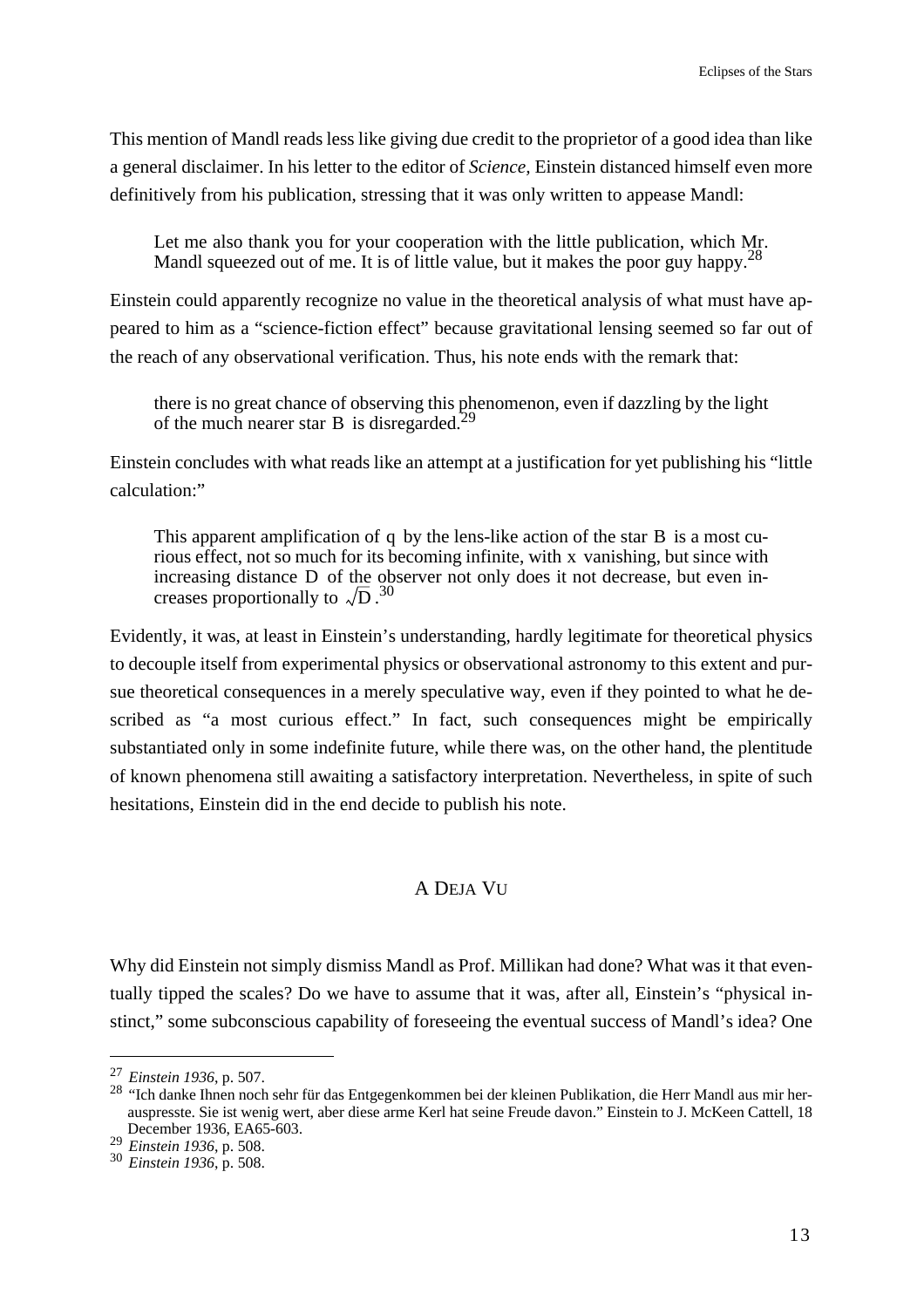This mention of Mandl reads less like giving due credit to the proprietor of a good idea than like a general disclaimer. In his letter to the editor of *Science,* Einstein distanced himself even more definitively from his publication, stressing that it was only written to appease Mandl:

Let me also thank you for your cooperation with the little publication, which Mr. Mandl squeezed out of me. It is of little value, but it makes the poor guy happy.<sup>28</sup>

Einstein could apparently recognize no value in the theoretical analysis of what must have appeared to him as a "science-fiction effect" because gravitational lensing seemed so far out of the reach of any observational verification. Thus, his note ends with the remark that:

there is no great chance of observing this phenomenon, even if dazzling by the light of the much nearer star B is disregarded.<sup>29</sup>

Einstein concludes with what reads like an attempt at a justification for yet publishing his "little calculation:"

This apparent amplification of  $q$  by the lens-like action of the star  $B$  is a most curious effect, not so much for its becoming infinite, with x vanishing, but since with increasing distance D of the observer not only does it not decrease, but even increases proportionally to  $\sqrt{D}$ .<sup>30</sup>

Evidently, it was, at least in Einstein's understanding, hardly legitimate for theoretical physics to decouple itself from experimental physics or observational astronomy to this extent and pursue theoretical consequences in a merely speculative way, even if they pointed to what he described as "a most curious effect." In fact, such consequences might be empirically substantiated only in some indefinite future, while there was, on the other hand, the plentitude of known phenomena still awaiting a satisfactory interpretation. Nevertheless, in spite of such hesitations, Einstein did in the end decide to publish his note.

## A DEJA VU

Why did Einstein not simply dismiss Mandl as Prof. Millikan had done? What was it that eventually tipped the scales? Do we have to assume that it was, after all, Einstein's "physical instinct," some subconscious capability of foreseeing the eventual success of Mandl's idea? One

<sup>&</sup>lt;sup>27</sup> Einstein 1936, p. 507.<br><sup>28</sup> "Ich danke Ihnen noch sehr für das Entgegenkommen bei der kleinen Publikation, die Herr Mandl aus mir herauspresste. Sie ist wenig wert, aber diese arme Kerl hat seine Freude davon." Einstein to J. McKeen Cattell, 18 December 1936, EA65-603.

<sup>29</sup>*Einstein 1936*, p. 508. <sup>30</sup>*Einstein 1936*, p. 508.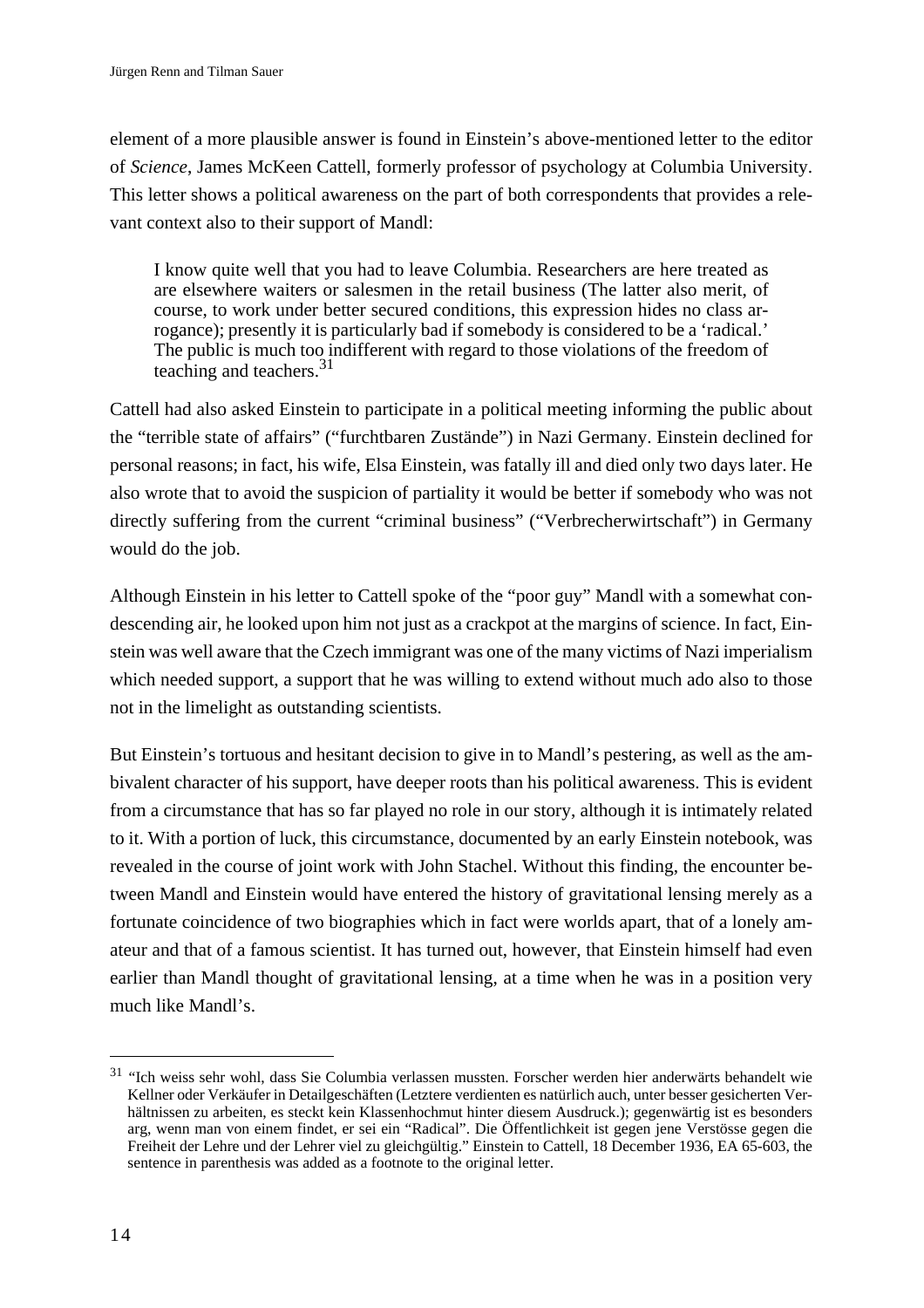element of a more plausible answer is found in Einstein's above-mentioned letter to the editor of *Science*, James McKeen Cattell, formerly professor of psychology at Columbia University. This letter shows a political awareness on the part of both correspondents that provides a relevant context also to their support of Mandl:

I know quite well that you had to leave Columbia. Researchers are here treated as are elsewhere waiters or salesmen in the retail business (The latter also merit, of course, to work under better secured conditions, this expression hides no class arrogance); presently it is particularly bad if somebody is considered to be a 'radical.' The public is much too indifferent with regard to those violations of the freedom of teaching and teachers.<sup>31</sup>

Cattell had also asked Einstein to participate in a political meeting informing the public about the "terrible state of affairs" ("furchtbaren Zustände") in Nazi Germany. Einstein declined for personal reasons; in fact, his wife, Elsa Einstein, was fatally ill and died only two days later. He also wrote that to avoid the suspicion of partiality it would be better if somebody who was not directly suffering from the current "criminal business" ("Verbrecherwirtschaft") in Germany would do the job.

Although Einstein in his letter to Cattell spoke of the "poor guy" Mandl with a somewhat condescending air, he looked upon him not just as a crackpot at the margins of science. In fact, Einstein was well aware that the Czech immigrant was one of the many victims of Nazi imperialism which needed support, a support that he was willing to extend without much ado also to those not in the limelight as outstanding scientists.

But Einstein's tortuous and hesitant decision to give in to Mandl's pestering, as well as the ambivalent character of his support, have deeper roots than his political awareness. This is evident from a circumstance that has so far played no role in our story, although it is intimately related to it. With a portion of luck, this circumstance, documented by an early Einstein notebook, was revealed in the course of joint work with John Stachel. Without this finding, the encounter between Mandl and Einstein would have entered the history of gravitational lensing merely as a fortunate coincidence of two biographies which in fact were worlds apart, that of a lonely amateur and that of a famous scientist. It has turned out, however, that Einstein himself had even earlier than Mandl thought of gravitational lensing, at a time when he was in a position very much like Mandl's.

<sup>&</sup>lt;sup>31</sup> "Ich weiss sehr wohl, dass Sie Columbia verlassen mussten. Forscher werden hier anderwärts behandelt wie Kellner oder Verkäufer in Detailgeschäften (Letztere verdienten es natürlich auch, unter besser gesicherten Verhältnissen zu arbeiten, es steckt kein Klassenhochmut hinter diesem Ausdruck.); gegenwärtig ist es besonders arg, wenn man von einem findet, er sei ein "Radical". Die Öffentlichkeit ist gegen jene Verstösse gegen die Freiheit der Lehre und der Lehrer viel zu gleichgültig." Einstein to Cattell, 18 December 1936, EA 65-603, the sentence in parenthesis was added as a footnote to the original letter.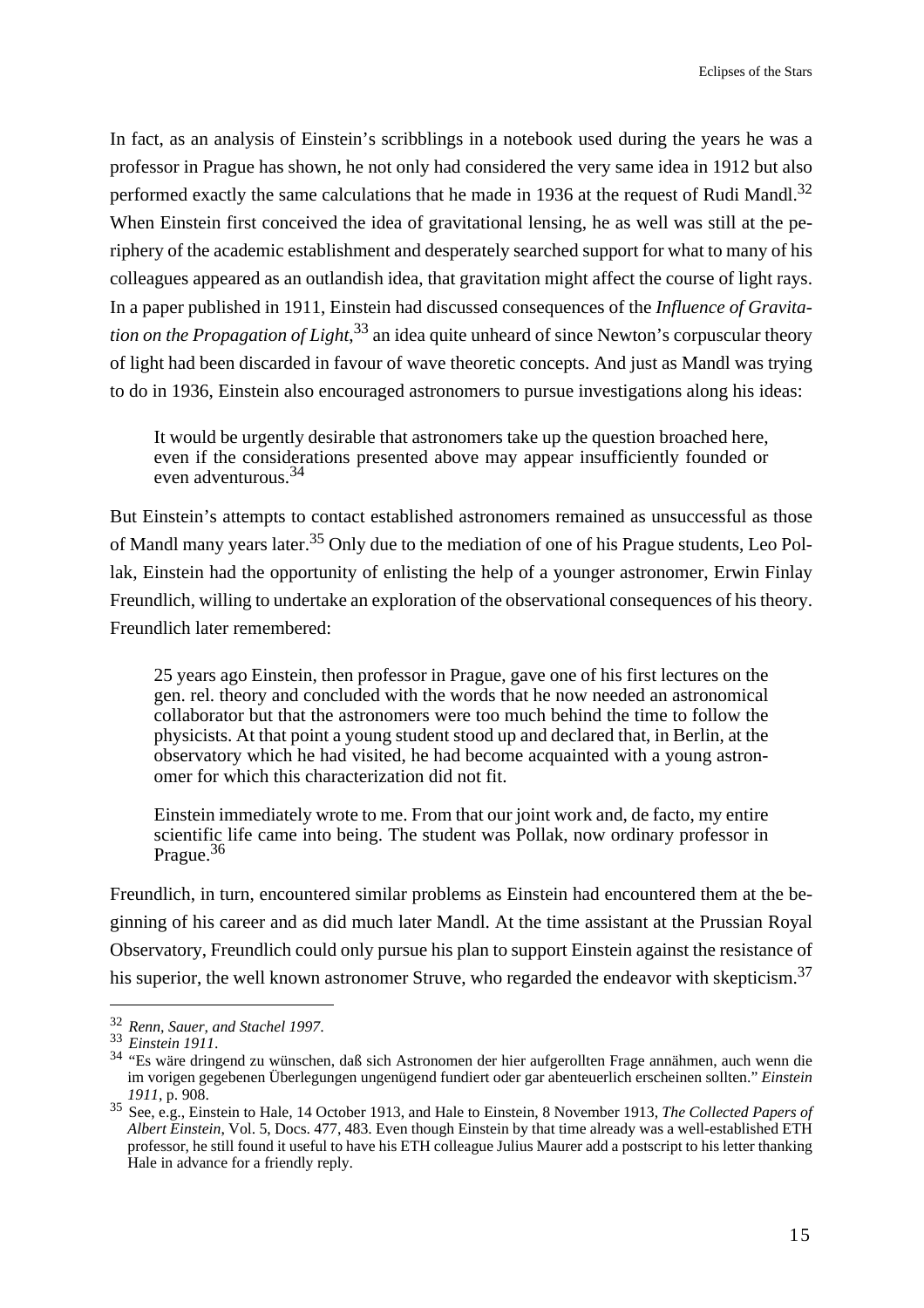In fact, as an analysis of Einstein's scribblings in a notebook used during the years he was a professor in Prague has shown, he not only had considered the very same idea in 1912 but also performed exactly the same calculations that he made in 1936 at the request of Rudi Mandl.<sup>32</sup> When Einstein first conceived the idea of gravitational lensing, he as well was still at the periphery of the academic establishment and desperately searched support for what to many of his colleagues appeared as an outlandish idea, that gravitation might affect the course of light rays. In a paper published in 1911, Einstein had discussed consequences of the *Influence of Gravitation on the Propagation of Light*, 33 an idea quite unheard of since Newton's corpuscular theory of light had been discarded in favour of wave theoretic concepts. And just as Mandl was trying to do in 1936, Einstein also encouraged astronomers to pursue investigations along his ideas:

It would be urgently desirable that astronomers take up the question broached here, even if the considerations presented above may appear insufficiently founded or even adventurous.<sup>34</sup>

But Einstein's attempts to contact established astronomers remained as unsuccessful as those of Mandl many years later.<sup>35</sup> Only due to the mediation of one of his Prague students, Leo Pollak, Einstein had the opportunity of enlisting the help of a younger astronomer, Erwin Finlay Freundlich, willing to undertake an exploration of the observational consequences of his theory. Freundlich later remembered:

25 years ago Einstein, then professor in Prague, gave one of his first lectures on the gen. rel. theory and concluded with the words that he now needed an astronomical collaborator but that the astronomers were too much behind the time to follow the physicists. At that point a young student stood up and declared that, in Berlin, at the observatory which he had visited, he had become acquainted with a young astronomer for which this characterization did not fit.

Einstein immediately wrote to me. From that our joint work and, de facto, my entire scientific life came into being. The student was Pollak, now ordinary professor in Prague.<sup>36</sup>

Freundlich, in turn, encountered similar problems as Einstein had encountered them at the beginning of his career and as did much later Mandl. At the time assistant at the Prussian Royal Observatory, Freundlich could only pursue his plan to support Einstein against the resistance of his superior, the well known astronomer Struve, who regarded the endeavor with skepticism.<sup>37</sup>

<sup>32</sup>*Renn, Sauer, and Stachel 1997*. <sup>33</sup>*Einstein 1911*. 34 "Es wäre dringend zu wünschen, daß sich Astronomen der hier aufgerollten Frage annähmen, auch wenn die im vorigen gegebenen Überlegungen ungenügend fundiert oder gar abenteuerlich erscheinen sollten." *Einstein*

*<sup>1911</sup>*, p. 908. 35 See, e.g., Einstein to Hale, 14 October 1913, and Hale to Einstein, 8 November 1913, *The Collected Papers of Albert Einstein*, Vol. 5, Docs. 477, 483. Even though Einstein by that time already was a well-established ETH professor, he still found it useful to have his ETH colleague Julius Maurer add a postscript to his letter thanking Hale in advance for a friendly reply.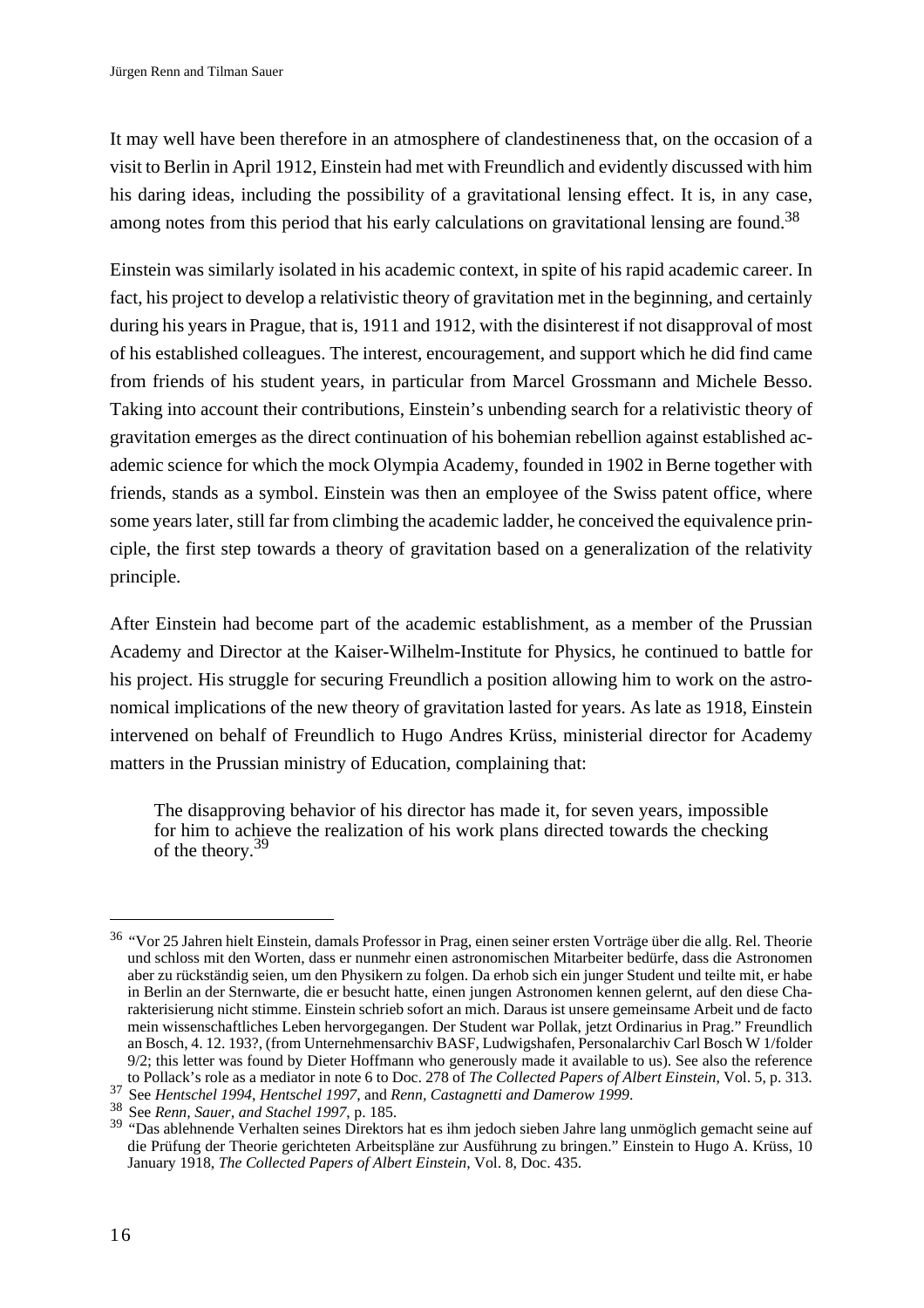It may well have been therefore in an atmosphere of clandestineness that, on the occasion of a visit to Berlin in April 1912, Einstein had met with Freundlich and evidently discussed with him his daring ideas, including the possibility of a gravitational lensing effect. It is, in any case, among notes from this period that his early calculations on gravitational lensing are found.<sup>38</sup>

Einstein was similarly isolated in his academic context, in spite of his rapid academic career. In fact, his project to develop a relativistic theory of gravitation met in the beginning, and certainly during his years in Prague, that is, 1911 and 1912, with the disinterest if not disapproval of most of his established colleagues. The interest, encouragement, and support which he did find came from friends of his student years, in particular from Marcel Grossmann and Michele Besso. Taking into account their contributions, Einstein's unbending search for a relativistic theory of gravitation emerges as the direct continuation of his bohemian rebellion against established academic science for which the mock Olympia Academy, founded in 1902 in Berne together with friends, stands as a symbol. Einstein was then an employee of the Swiss patent office, where some years later, still far from climbing the academic ladder, he conceived the equivalence principle, the first step towards a theory of gravitation based on a generalization of the relativity principle.

After Einstein had become part of the academic establishment, as a member of the Prussian Academy and Director at the Kaiser-Wilhelm-Institute for Physics, he continued to battle for his project. His struggle for securing Freundlich a position allowing him to work on the astronomical implications of the new theory of gravitation lasted for years. As late as 1918, Einstein intervened on behalf of Freundlich to Hugo Andres Krüss, ministerial director for Academy matters in the Prussian ministry of Education, complaining that:

The disapproving behavior of his director has made it, for seven years, impossible for him to achieve the realization of his work plans directed towards the checking of the theory.39

<sup>36 &</sup>quot;Vor 25 Jahren hielt Einstein, damals Professor in Prag, einen seiner ersten Vorträge über die allg. Rel. Theorie und schloss mit den Worten, dass er nunmehr einen astronomischen Mitarbeiter bedürfe, dass die Astronomen aber zu rückständig seien, um den Physikern zu folgen. Da erhob sich ein junger Student und teilte mit, er habe in Berlin an der Sternwarte, die er besucht hatte, einen jungen Astronomen kennen gelernt, auf den diese Charakterisierung nicht stimme. Einstein schrieb sofort an mich. Daraus ist unsere gemeinsame Arbeit und de facto mein wissenschaftliches Leben hervorgegangen. Der Student war Pollak, jetzt Ordinarius in Prag." Freundlich an Bosch, 4. 12. 193?, (from Unternehmensarchiv BASF, Ludwigshafen, Personalarchiv Carl Bosch W 1/folder 9/2; this letter was found by Dieter Hoffmann who generously made it available to us). See also the reference to Pollack's role as a mediator in note 6 to Doc. 278 of *The Collected Papers of Albert Einstein*, Vol. 5, p. 3

<sup>&</sup>lt;sup>37</sup> See Hentschel 1994, Hentschel 1997, and Renn, Castagnetti and Damerow 1999.<br><sup>38</sup> See Renn, Sauer, and Stachel 1997, p. 185.<br><sup>39</sup> "Das ablehnende Verhalten seines Direktors hat es ihm jedoch sieben Jahre lang unmöglich die Prüfung der Theorie gerichteten Arbeitspläne zur Ausführung zu bringen." Einstein to Hugo A. Krüss, 10 January 1918, *The Collected Papers of Albert Einstein*, Vol. 8, Doc. 435.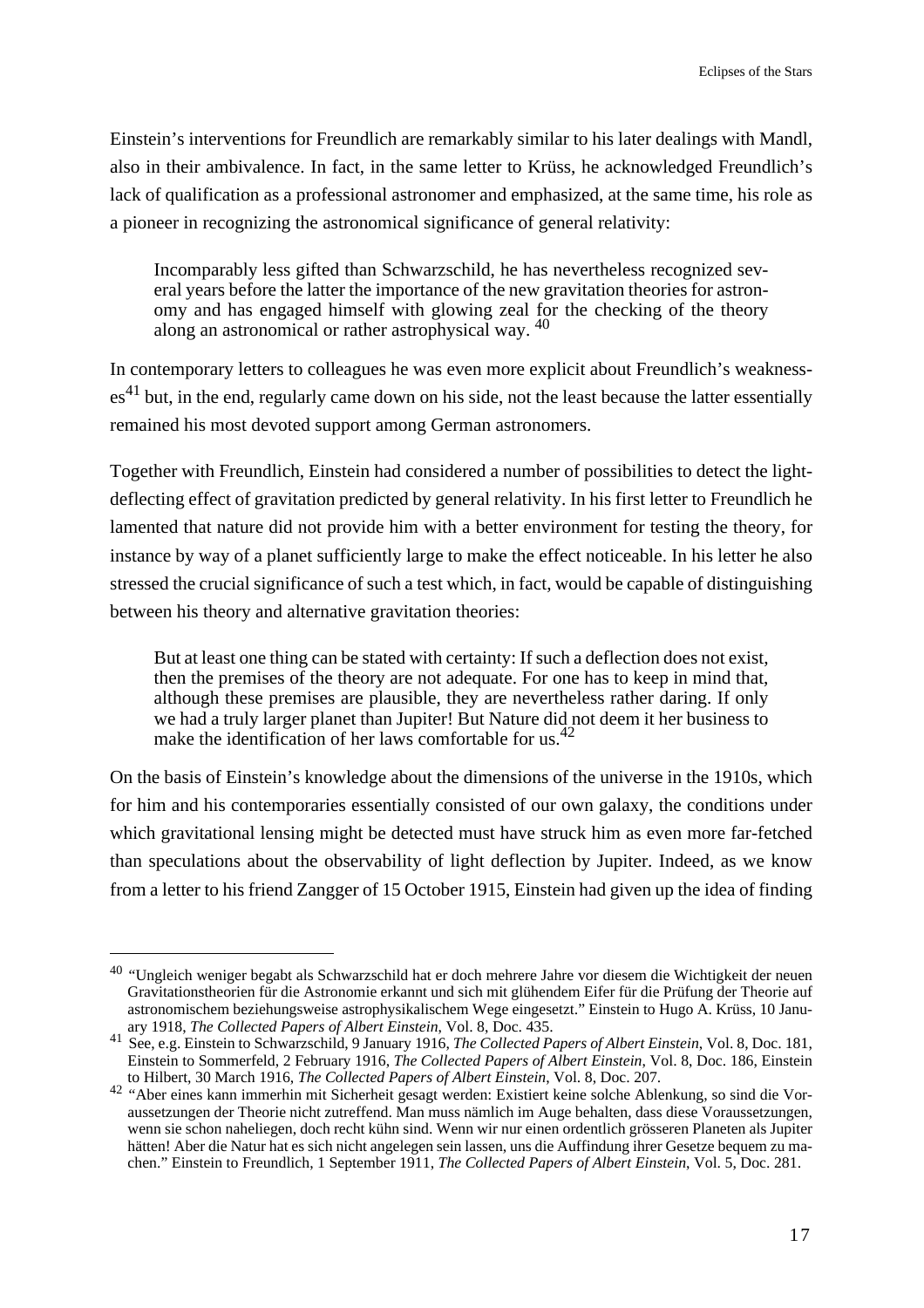Einstein's interventions for Freundlich are remarkably similar to his later dealings with Mandl, also in their ambivalence. In fact, in the same letter to Krüss, he acknowledged Freundlich's lack of qualification as a professional astronomer and emphasized, at the same time, his role as a pioneer in recognizing the astronomical significance of general relativity:

Incomparably less gifted than Schwarzschild, he has nevertheless recognized several years before the latter the importance of the new gravitation theories for astronomy and has engaged himself with glowing zeal for the checking of the theory along an astronomical or rather astrophysical way. 40

In contemporary letters to colleagues he was even more explicit about Freundlich's weakness $es<sup>41</sup>$  but, in the end, regularly came down on his side, not the least because the latter essentially remained his most devoted support among German astronomers.

Together with Freundlich, Einstein had considered a number of possibilities to detect the lightdeflecting effect of gravitation predicted by general relativity. In his first letter to Freundlich he lamented that nature did not provide him with a better environment for testing the theory, for instance by way of a planet sufficiently large to make the effect noticeable. In his letter he also stressed the crucial significance of such a test which, in fact, would be capable of distinguishing between his theory and alternative gravitation theories:

But at least one thing can be stated with certainty: If such a deflection does not exist, then the premises of the theory are not adequate. For one has to keep in mind that, although these premises are plausible, they are nevertheless rather daring. If only we had a truly larger planet than Jupiter! But Nature did not deem it her business to make the identification of her laws comfortable for us.<sup>42</sup>

On the basis of Einstein's knowledge about the dimensions of the universe in the 1910s, which for him and his contemporaries essentially consisted of our own galaxy, the conditions under which gravitational lensing might be detected must have struck him as even more far-fetched than speculations about the observability of light deflection by Jupiter. Indeed, as we know from a letter to his friend Zangger of 15 October 1915, Einstein had given up the idea of finding

<sup>&</sup>lt;sup>40</sup> "Ungleich weniger begabt als Schwarzschild hat er doch mehrere Jahre vor diesem die Wichtigkeit der neuen Gravitationstheorien für die Astronomie erkannt und sich mit glühendem Eifer für die Prüfung der Theorie auf astronomischem beziehungsweise astrophysikalischem Wege eingesetzt." Einstein to Hugo A. Krüss, 10 January 1918, *The Collected Papers of Albert Einstein*, Vol. 8, Doc. 435.

<sup>41</sup> See, e.g. Einstein to Schwarzschild, 9 January 1916, *The Collected Papers of Albert Einstein*, Vol. 8, Doc. 181, Einstein to Sommerfeld, 2 February 1916, *The Collected Papers of Albert Einstein*, Vol. 8, Doc. 186, Einstein to Hilbert, 30 March 1916, *The Collected Papers of Albert Einstein*, Vol. 8, Doc. 207.

<sup>42 &</sup>quot;Aber eines kann immerhin mit Sicherheit gesagt werden: Existiert keine solche Ablenkung, so sind die Voraussetzungen der Theorie nicht zutreffend. Man muss nämlich im Auge behalten, dass diese Voraussetzungen, wenn sie schon naheliegen, doch recht kühn sind. Wenn wir nur einen ordentlich grösseren Planeten als Jupiter hätten! Aber die Natur hat es sich nicht angelegen sein lassen, uns die Auffindung ihrer Gesetze bequem zu machen." Einstein to Freundlich, 1 September 1911, *The Collected Papers of Albert Einstein*, Vol. 5, Doc. 281.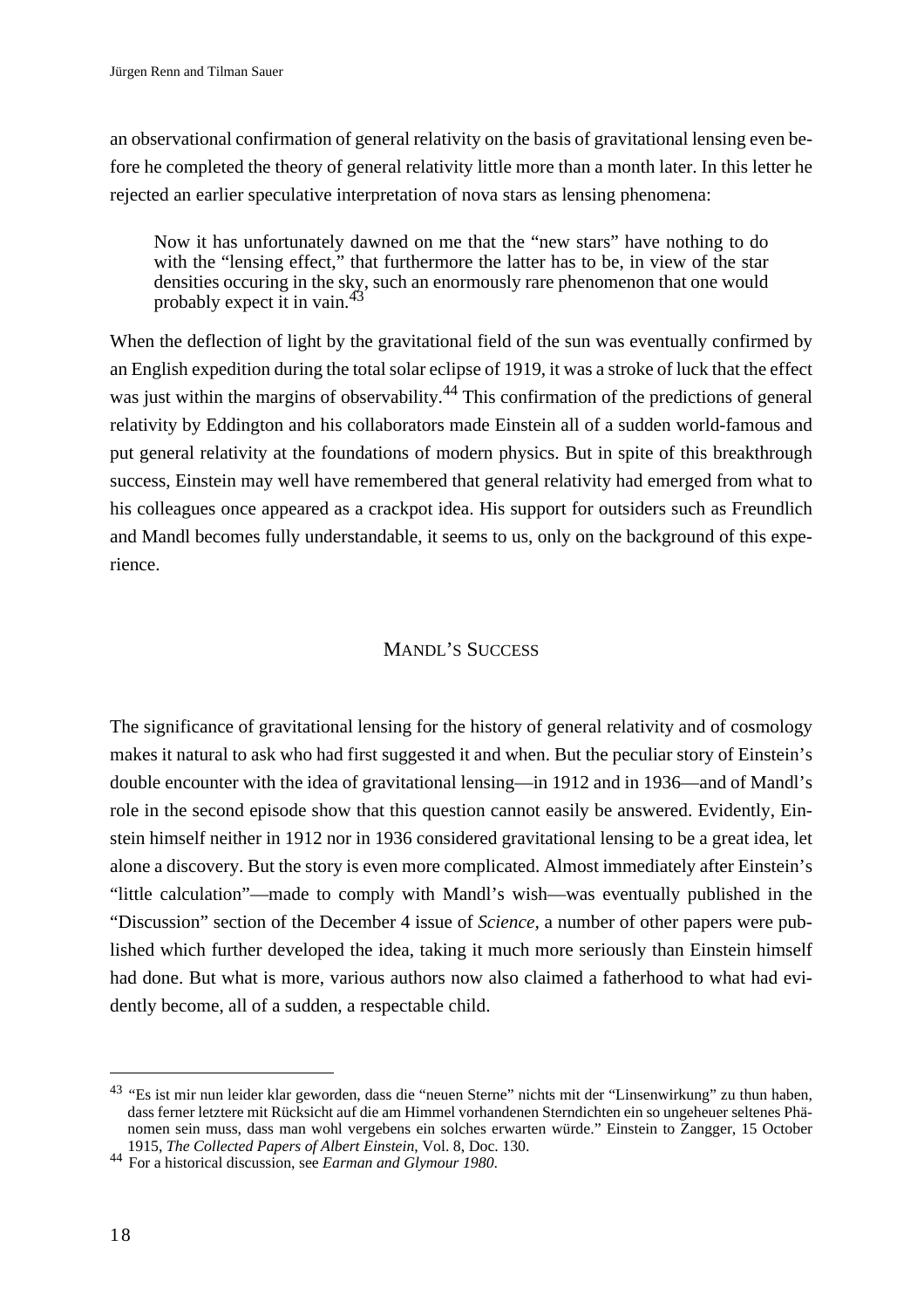an observational confirmation of general relativity on the basis of gravitational lensing even before he completed the theory of general relativity little more than a month later. In this letter he rejected an earlier speculative interpretation of nova stars as lensing phenomena:

Now it has unfortunately dawned on me that the "new stars" have nothing to do with the "lensing effect," that furthermore the latter has to be, in view of the star densities occuring in the sky, such an enormously rare phenomenon that one would probably expect it in vain.<sup>43</sup>

When the deflection of light by the gravitational field of the sun was eventually confirmed by an English expedition during the total solar eclipse of 1919, it was a stroke of luck that the effect was just within the margins of observability.<sup>44</sup> This confirmation of the predictions of general relativity by Eddington and his collaborators made Einstein all of a sudden world-famous and put general relativity at the foundations of modern physics. But in spite of this breakthrough success, Einstein may well have remembered that general relativity had emerged from what to his colleagues once appeared as a crackpot idea. His support for outsiders such as Freundlich and Mandl becomes fully understandable, it seems to us, only on the background of this experience.

# MANDL'S SUCCESS

The significance of gravitational lensing for the history of general relativity and of cosmology makes it natural to ask who had first suggested it and when. But the peculiar story of Einstein's double encounter with the idea of gravitational lensing—in 1912 and in 1936—and of Mandl's role in the second episode show that this question cannot easily be answered. Evidently, Einstein himself neither in 1912 nor in 1936 considered gravitational lensing to be a great idea, let alone a discovery. But the story is even more complicated. Almost immediately after Einstein's "little calculation"—made to comply with Mandl's wish—was eventually published in the "Discussion" section of the December 4 issue of *Science,* a number of other papers were published which further developed the idea, taking it much more seriously than Einstein himself had done. But what is more, various authors now also claimed a fatherhood to what had evidently become, all of a sudden, a respectable child.

<sup>43 &</sup>quot;Es ist mir nun leider klar geworden, dass die "neuen Sterne" nichts mit der "Linsenwirkung" zu thun haben, dass ferner letztere mit Rücksicht auf die am Himmel vorhandenen Sterndichten ein so ungeheuer seltenes Phänomen sein muss, dass man wohl vergebens ein solches erwarten würde." Einstein to Zangger, 15 October 1915, *The Collected Papers of Albert Einstein*, Vol. 8, Doc. 130.

<sup>44</sup> For a historical discussion, see *Earman and Glymour 1980*.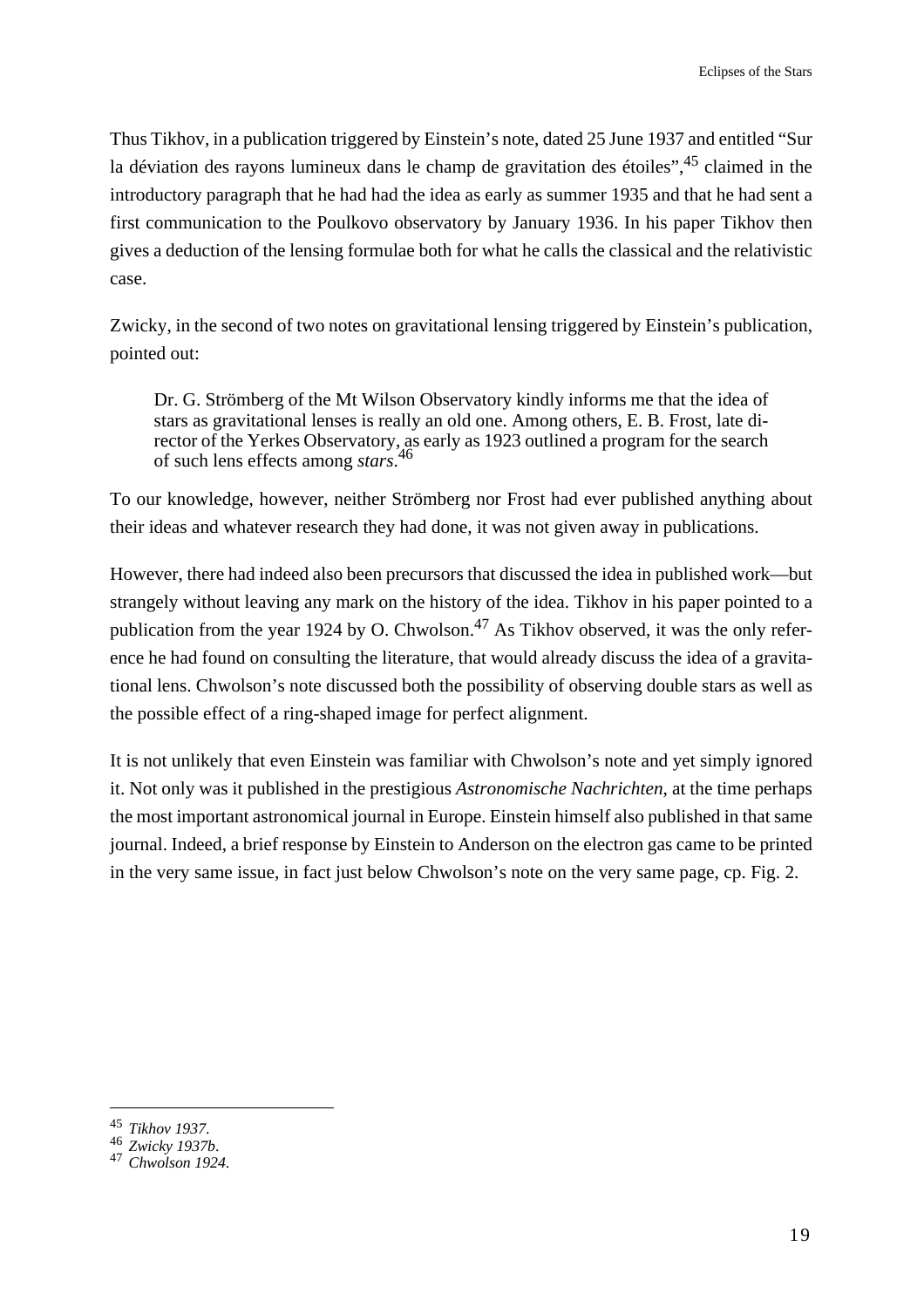Thus Tikhov, in a publication triggered by Einstein's note, dated 25 June 1937 and entitled "Sur la déviation des rayons lumineux dans le champ de gravitation des étoiles", <sup>45</sup> claimed in the introductory paragraph that he had had the idea as early as summer 1935 and that he had sent a first communication to the Poulkovo observatory by January 1936. In his paper Tikhov then gives a deduction of the lensing formulae both for what he calls the classical and the relativistic case.

Zwicky, in the second of two notes on gravitational lensing triggered by Einstein's publication, pointed out:

Dr. G. Strömberg of the Mt Wilson Observatory kindly informs me that the idea of stars as gravitational lenses is really an old one. Among others, E. B. Frost, late director of the Yerkes Observatory, as early as 1923 outlined a program for the search of such lens effects among *stars*. 46

To our knowledge, however, neither Strömberg nor Frost had ever published anything about their ideas and whatever research they had done, it was not given away in publications.

However, there had indeed also been precursors that discussed the idea in published work—but strangely without leaving any mark on the history of the idea. Tikhov in his paper pointed to a publication from the year 1924 by O. Chwolson.<sup>47</sup> As Tikhov observed, it was the only reference he had found on consulting the literature, that would already discuss the idea of a gravitational lens. Chwolson's note discussed both the possibility of observing double stars as well as the possible effect of a ring-shaped image for perfect alignment.

It is not unlikely that even Einstein was familiar with Chwolson's note and yet simply ignored it. Not only was it published in the prestigious *Astronomische Nachrichten*, at the time perhaps the most important astronomical journal in Europe. Einstein himself also published in that same journal. Indeed, a brief response by Einstein to Anderson on the electron gas came to be printed in the very same issue, in fact just below Chwolson's note on the very same page, cp. Fig. 2.

<sup>45</sup>*Tikhov 1937*. <sup>46</sup>*Zwicky 1937b*. <sup>47</sup>*Chwolson 1924*.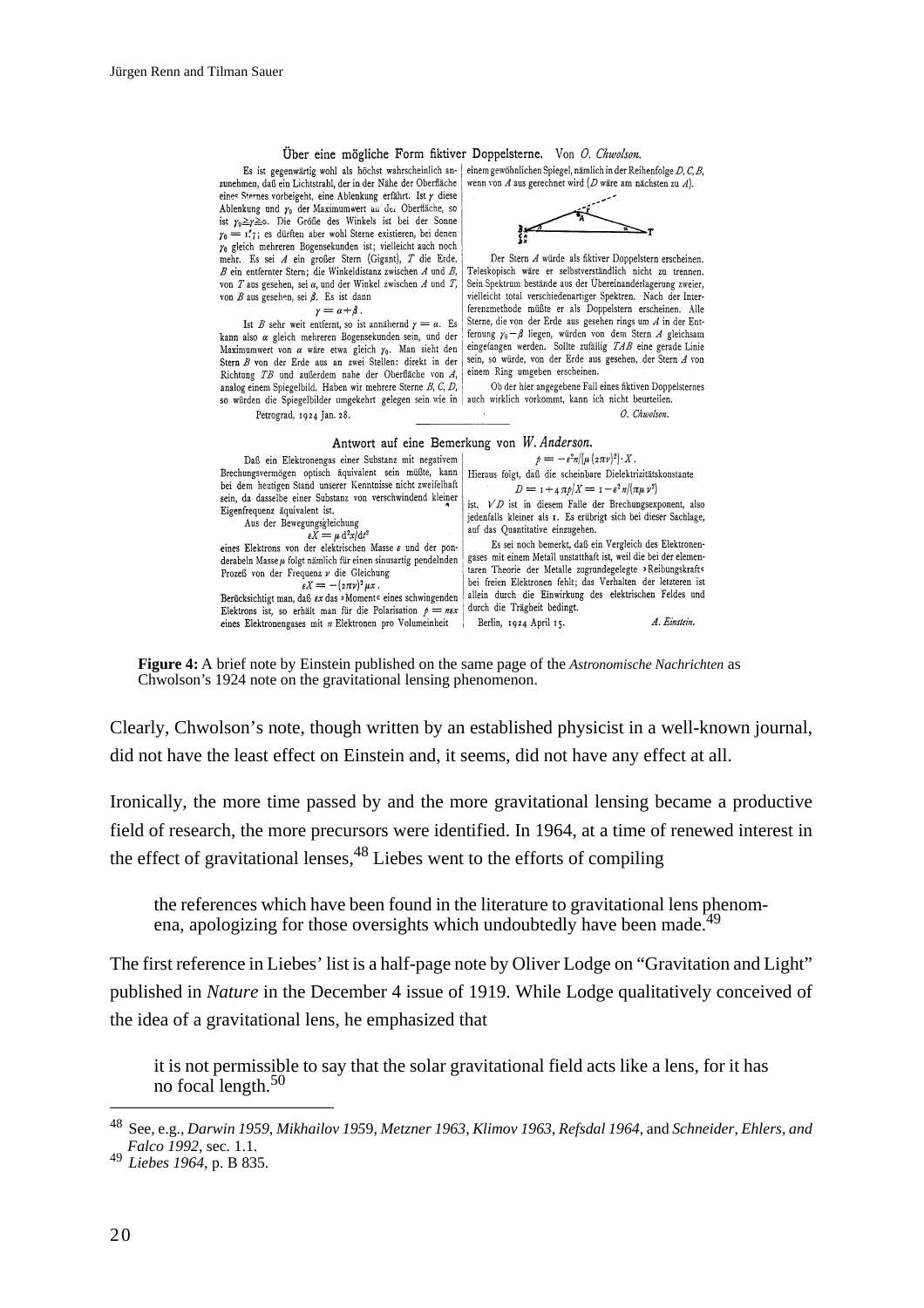#### Über eine mögliche Form fiktiver Doppelsterne. Von O. Chwolson.

Es ist gegenwärtig wohl als höchst wahrscheinlich anzunehmen, daß ein Lichtstrahl, der in der Nähe der Oberfläche eines Sternes vorbeigeht, eine Ablenkung erfährt. Ist  $\gamma$  diese Ablenkung und yo der Maximumwert an der Oberfläche, so ist  $\gamma_0 \geq \gamma \geq 0$ . Die Größe des Winkels ist bei der Sonne  $\gamma_0 = i'$ 7; es dürften aber wohl Sterne existieren, bei denen  $\gamma_0$  gleich mehreren Bogensekunden ist; vielleicht auch noch mehr. Es sei A ein großer Stern (Gigant), T die Erde,  $B$  ein entfernter Stern; die Winkeldistanz zwischen  $A$  und  $B$ , von  $T$  aus gesehen, sei  $\alpha$ , und der Winkel zwischen  $A$  und  $T$ , von  $B$  aus gesehen, sei  $\beta$ . Es ist dann

 $\gamma = \alpha + \beta$ .

Ist B sehr weit entfernt so ist annähernd  $r = \alpha$ . Es kann also  $\alpha$  gleich mehreren Bogensekunden sein, und der Maximumwert von  $\alpha$  wäre etwa gleich  $\gamma_0$ . Man sieht den Stern B von der Erde aus an zwei Stellen: direkt in der Richtung TB und außerdem nahe der Oberfläche von A, analog einem Spiegelbild. Haben wir mehrere Sterne B, C, D, so würden die Spiegelbilder umgekehrt gelegen sein wie in

Petrograd, 1924 Jan. 28.



سيو<br>جي

Der Stern $\mathcal A$  würde als fiktiver Doppelstern erscheinen. Teleskopisch wäre er selbstverständlich nicht zu trennen. Sein Spektrum bestände aus der Übereinanderlagerung zweier, vielleicht total verschiedenartiger Spektren. Nach der Interferenzmethode müßte er als Doppelstern erscheinen. Alle Sterne, die von der Erde aus gesehen rings um A in der Entfernung  $\gamma_0 - \beta$  liegen, würden von dem Stern A gleichsam eingefangen werden. Sollte zufällig  $TAB$  eine gerade Linie sein, so würde, von der Erde aus gesehen, der Stern $\boldsymbol{A}$ von einem Ring umgeben erscheinen.

Ob der hier angegebene Fall eines fiktiven Doppelsternes auch wirklich vorkommt, kann ich nicht beurteilen

O. Chwolson.

#### Antwort auf eine Bemerkung von W. Anderson.

Daß ein Elektronengas einer Substanz mit negativem Brechungsvermögen optisch äquivalent sein müßte, kann bei dem heutigen Stand unserer Kenntnisse nicht zweifelhaft sein, da dasselbe einer Substanz von verschwindend kleiner Eigenfrequenz äquivalent ist.

Aus der Bewegungsgleichung  $\epsilon X = \mu d^2x/dt^2$ eines Elektrons von der elektrischen Masse  $\varepsilon$  und der ponderabeln Masse  $\mu$  folgt nämlich für einen sinusartig pendelnden derabeln Masse  $\mu$  folgt namiten fur einen sinus<br>Prozeß von der Frequenz  $\nu$  die Gleichung<br> $\epsilon X = -(\frac{2}{\pi \nu})^2 \mu x$ .

Berücksichtigt man, daß ex das »Moment« eines schwingenden Elektrons ist, so erhält man für die Polarisation  $p = n \epsilon x$ eines Elektronengases mit n Elektronen pro Volumeinheit



auf das Quantitative einzugehen. Es sei noch bemerkt, daß ein Vergleich des Elektronengases mit einem Metall unstatthaft ist, weil die bei der elementaren Theorie der Metalle zugrundegelegte »Reibungskraft« bei freien Elektronen fehlt; das Verhalten der letzteren ist allein durch die Einwirkung des elektrischen Feldes und durch die Trägheit bedingt. Berlin, 1924 April 15.

A. Einstein.



Clearly, Chwolson's note, though written by an established physicist in a well-known journal, did not have the least effect on Einstein and, it seems, did not have any effect at all.

Ironically, the more time passed by and the more gravitational lensing became a productive field of research, the more precursors were identified. In 1964, at a time of renewed interest in the effect of gravitational lenses,  $48$  Liebes went to the efforts of compiling

the references which have been found in the literature to gravitational lens phenomena, apologizing for those oversights which undoubtedly have been made.<sup>49</sup>

The first reference in Liebes' list is a half-page note by Oliver Lodge on "Gravitation and Light" published in *Nature* in the December 4 issue of 1919. While Lodge qualitatively conceived of the idea of a gravitational lens, he emphasized that

it is not permissible to say that the solar gravitational field acts like a lens, for it has no focal length. $50$ 

<sup>48</sup> See, e.g., *Darwin 1959*, *Mikhailov 195*9, *Metzner 1963*, *Klimov 1963*, *Refsdal 1964*, and *Schneider, Ehlers, and Falco 1992*, sec. 1.1.

<sup>49</sup>*Liebes 1964*, p. B 835.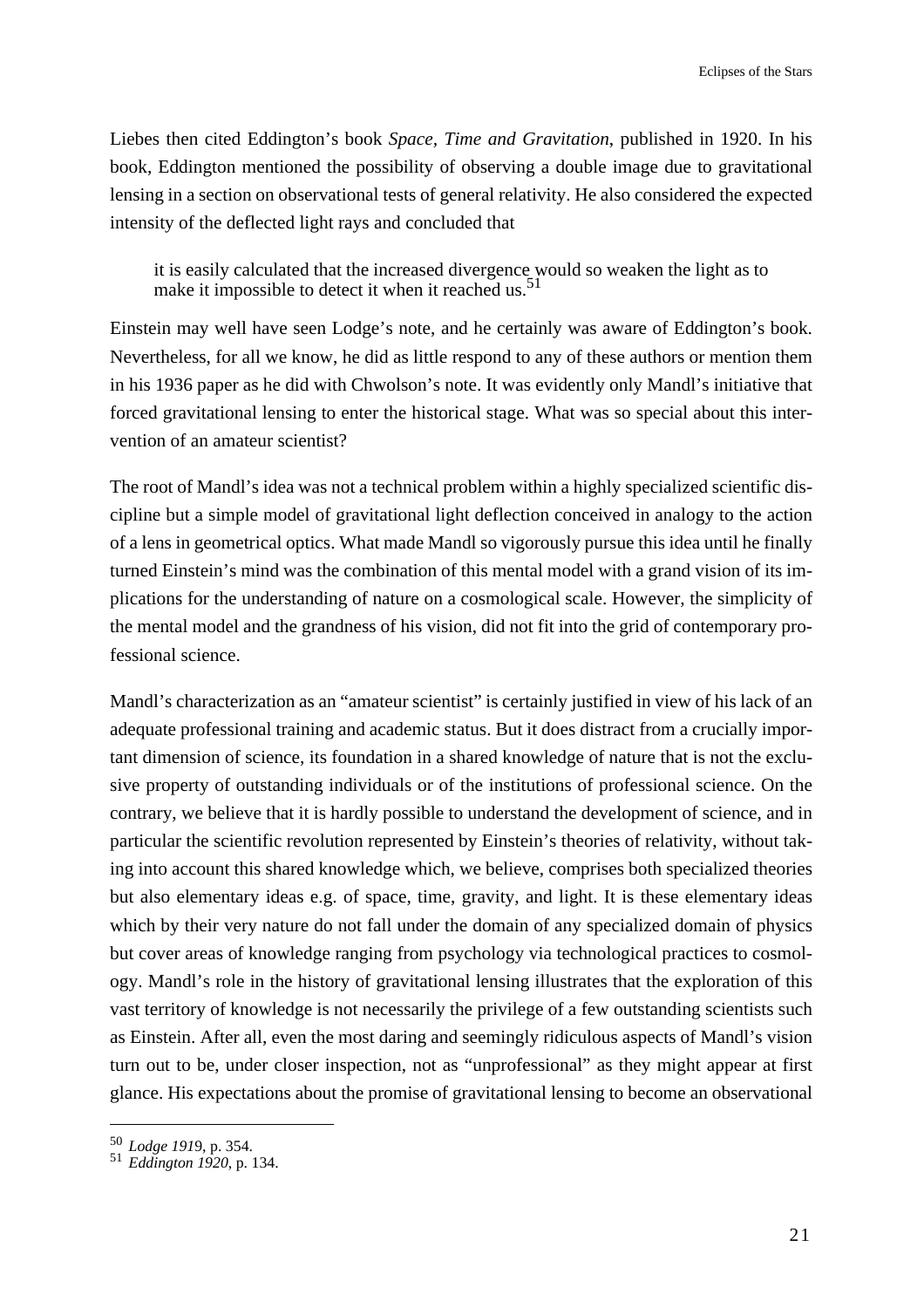Liebes then cited Eddington's book *Space, Time and Gravitation*, published in 1920. In his book, Eddington mentioned the possibility of observing a double image due to gravitational lensing in a section on observational tests of general relativity. He also considered the expected intensity of the deflected light rays and concluded that

it is easily calculated that the increased divergence would so weaken the light as to make it impossible to detect it when it reached us.<sup>51</sup>

Einstein may well have seen Lodge's note, and he certainly was aware of Eddington's book. Nevertheless, for all we know, he did as little respond to any of these authors or mention them in his 1936 paper as he did with Chwolson's note. It was evidently only Mandl's initiative that forced gravitational lensing to enter the historical stage. What was so special about this intervention of an amateur scientist?

The root of Mandl's idea was not a technical problem within a highly specialized scientific discipline but a simple model of gravitational light deflection conceived in analogy to the action of a lens in geometrical optics. What made Mandl so vigorously pursue this idea until he finally turned Einstein's mind was the combination of this mental model with a grand vision of its implications for the understanding of nature on a cosmological scale. However, the simplicity of the mental model and the grandness of his vision, did not fit into the grid of contemporary professional science.

Mandl's characterization as an "amateur scientist" is certainly justified in view of his lack of an adequate professional training and academic status. But it does distract from a crucially important dimension of science, its foundation in a shared knowledge of nature that is not the exclusive property of outstanding individuals or of the institutions of professional science. On the contrary, we believe that it is hardly possible to understand the development of science, and in particular the scientific revolution represented by Einstein's theories of relativity, without taking into account this shared knowledge which, we believe, comprises both specialized theories but also elementary ideas e.g. of space, time, gravity, and light. It is these elementary ideas which by their very nature do not fall under the domain of any specialized domain of physics but cover areas of knowledge ranging from psychology via technological practices to cosmology. Mandl's role in the history of gravitational lensing illustrates that the exploration of this vast territory of knowledge is not necessarily the privilege of a few outstanding scientists such as Einstein. After all, even the most daring and seemingly ridiculous aspects of Mandl's vision turn out to be, under closer inspection, not as "unprofessional" as they might appear at first glance. His expectations about the promise of gravitational lensing to become an observational

<sup>50</sup>*Lodge 191*9, p. 354. <sup>51</sup>*Eddington 1920*, p. 134.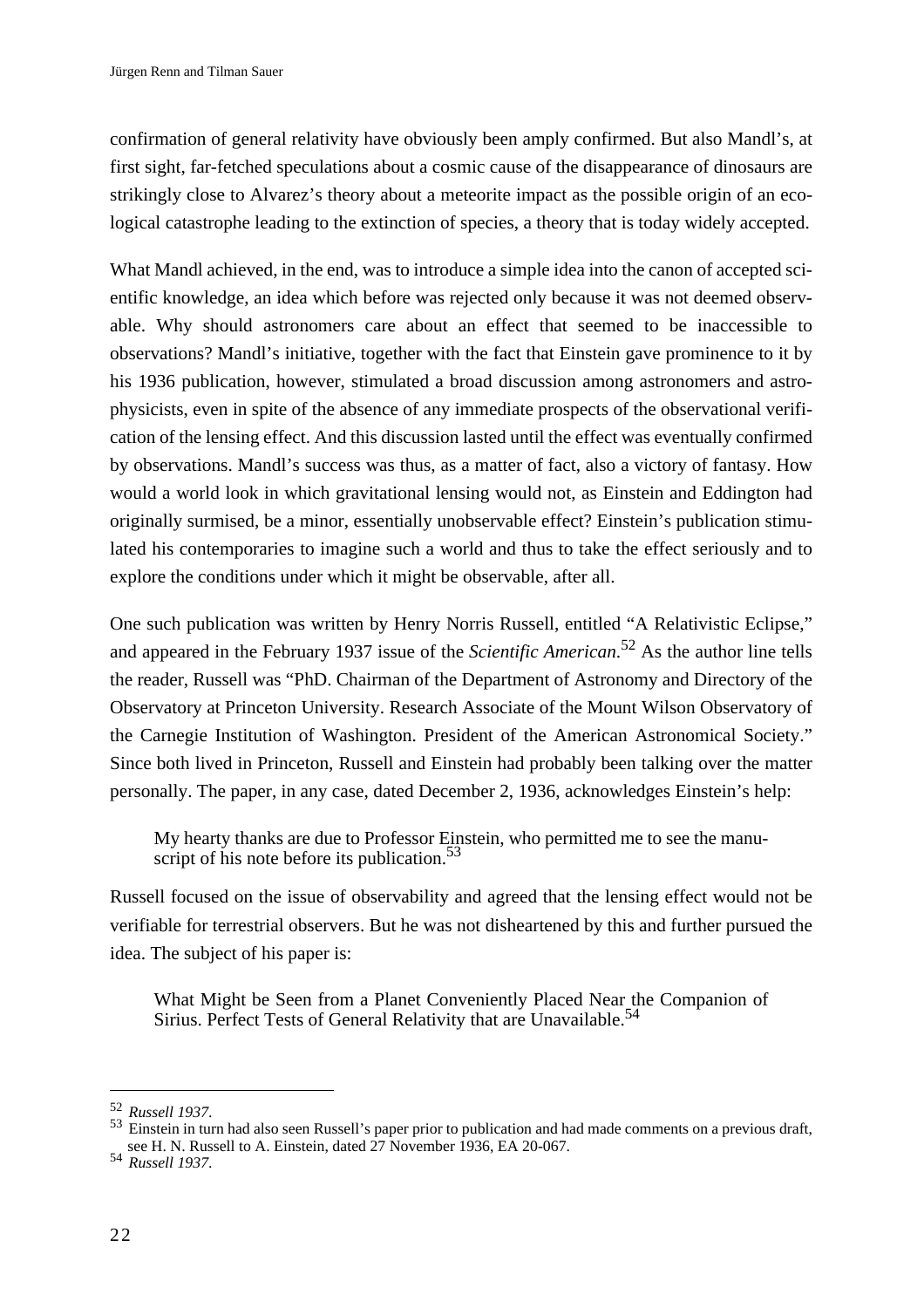confirmation of general relativity have obviously been amply confirmed. But also Mandl's, at first sight, far-fetched speculations about a cosmic cause of the disappearance of dinosaurs are strikingly close to Alvarez's theory about a meteorite impact as the possible origin of an ecological catastrophe leading to the extinction of species, a theory that is today widely accepted.

What Mandl achieved, in the end, was to introduce a simple idea into the canon of accepted scientific knowledge, an idea which before was rejected only because it was not deemed observable. Why should astronomers care about an effect that seemed to be inaccessible to observations? Mandl's initiative, together with the fact that Einstein gave prominence to it by his 1936 publication, however, stimulated a broad discussion among astronomers and astrophysicists, even in spite of the absence of any immediate prospects of the observational verification of the lensing effect. And this discussion lasted until the effect was eventually confirmed by observations. Mandl's success was thus, as a matter of fact, also a victory of fantasy. How would a world look in which gravitational lensing would not, as Einstein and Eddington had originally surmised, be a minor, essentially unobservable effect? Einstein's publication stimulated his contemporaries to imagine such a world and thus to take the effect seriously and to explore the conditions under which it might be observable, after all.

One such publication was written by Henry Norris Russell, entitled "A Relativistic Eclipse," and appeared in the February 1937 issue of the *Scientific American*. 52 As the author line tells the reader, Russell was "PhD. Chairman of the Department of Astronomy and Directory of the Observatory at Princeton University. Research Associate of the Mount Wilson Observatory of the Carnegie Institution of Washington. President of the American Astronomical Society." Since both lived in Princeton, Russell and Einstein had probably been talking over the matter personally. The paper, in any case, dated December 2, 1936, acknowledges Einstein's help:

My hearty thanks are due to Professor Einstein, who permitted me to see the manuscript of his note before its publication.  $53$ 

Russell focused on the issue of observability and agreed that the lensing effect would not be verifiable for terrestrial observers. But he was not disheartened by this and further pursued the idea. The subject of his paper is:

What Might be Seen from a Planet Conveniently Placed Near the Companion of Sirius. Perfect Tests of General Relativity that are Unavailable.<sup>54</sup>

<sup>52</sup>*Russell 1937*. 53 Einstein in turn had also seen Russell's paper prior to publication and had made comments on a previous draft, see H. N. Russell to A. Einstein, dated  $27$  November 1936, EA 20-067.

<sup>54</sup>*Russell 1937*.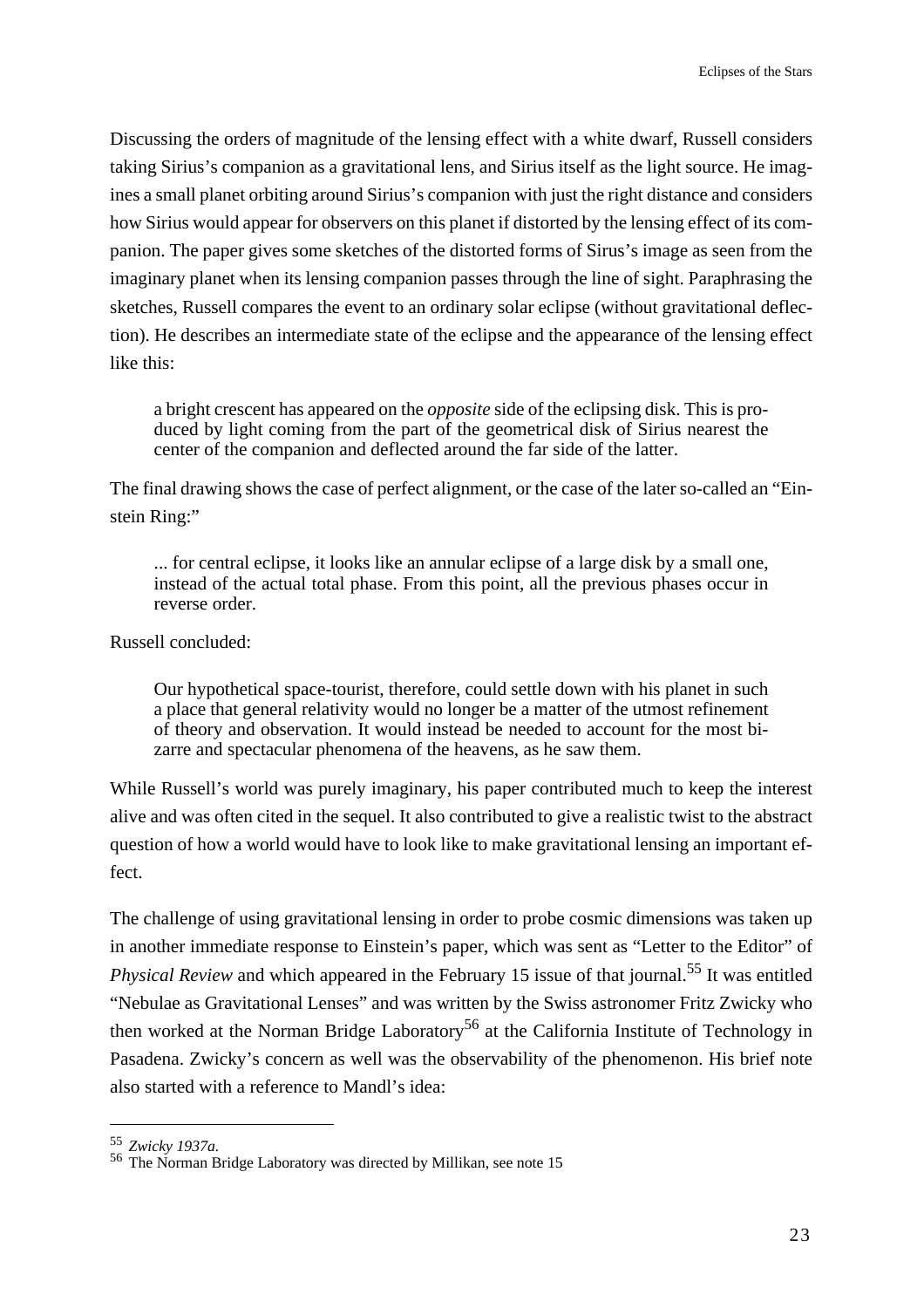Discussing the orders of magnitude of the lensing effect with a white dwarf, Russell considers taking Sirius's companion as a gravitational lens, and Sirius itself as the light source. He imagines a small planet orbiting around Sirius's companion with just the right distance and considers how Sirius would appear for observers on this planet if distorted by the lensing effect of its companion. The paper gives some sketches of the distorted forms of Sirus's image as seen from the imaginary planet when its lensing companion passes through the line of sight. Paraphrasing the sketches, Russell compares the event to an ordinary solar eclipse (without gravitational deflection). He describes an intermediate state of the eclipse and the appearance of the lensing effect like this:

a bright crescent has appeared on the *opposite* side of the eclipsing disk. This is produced by light coming from the part of the geometrical disk of Sirius nearest the center of the companion and deflected around the far side of the latter.

The final drawing shows the case of perfect alignment, or the case of the later so-called an "Einstein Ring:"

... for central eclipse, it looks like an annular eclipse of a large disk by a small one, instead of the actual total phase. From this point, all the previous phases occur in reverse order.

## Russell concluded:

Our hypothetical space-tourist, therefore, could settle down with his planet in such a place that general relativity would no longer be a matter of the utmost refinement of theory and observation. It would instead be needed to account for the most bizarre and spectacular phenomena of the heavens, as he saw them.

While Russell's world was purely imaginary, his paper contributed much to keep the interest alive and was often cited in the sequel. It also contributed to give a realistic twist to the abstract question of how a world would have to look like to make gravitational lensing an important effect.

The challenge of using gravitational lensing in order to probe cosmic dimensions was taken up in another immediate response to Einstein's paper, which was sent as "Letter to the Editor" of *Physical Review* and which appeared in the February 15 issue of that journal.<sup>55</sup> It was entitled "Nebulae as Gravitational Lenses" and was written by the Swiss astronomer Fritz Zwicky who then worked at the Norman Bridge Laboratory<sup>56</sup> at the California Institute of Technology in Pasadena. Zwicky's concern as well was the observability of the phenomenon. His brief note also started with a reference to Mandl's idea:

<sup>55</sup>*Zwicky 1937a.* 56 The Norman Bridge Laboratory was directed by Millikan, see note 15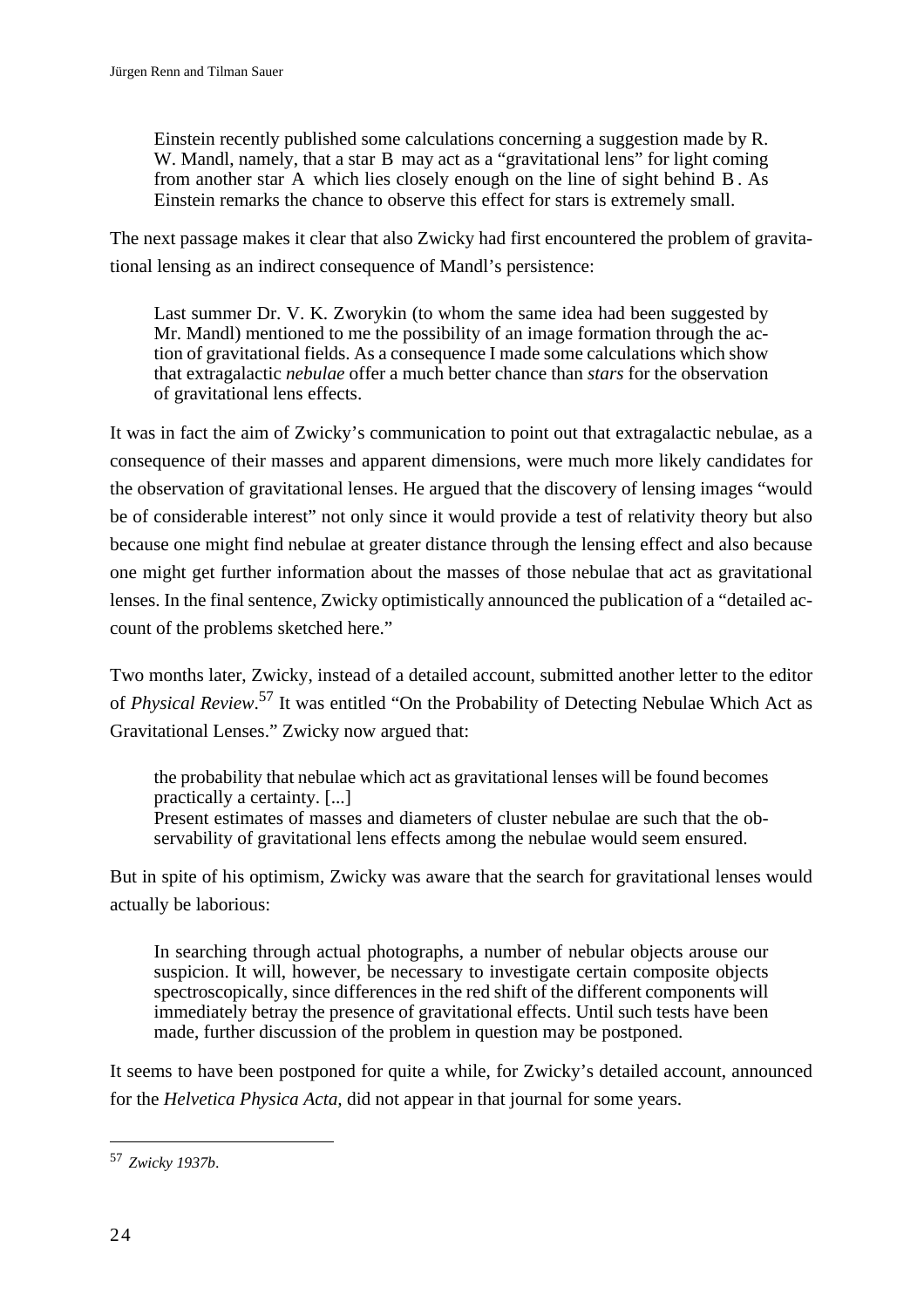Einstein recently published some calculations concerning a suggestion made by R. W. Mandl, namely, that a star B may act as a "gravitational lens" for light coming from another star A which lies closely enough on the line of sight behind B. As Einstein remarks the chance to observe this effect for stars is extremely small.

The next passage makes it clear that also Zwicky had first encountered the problem of gravitational lensing as an indirect consequence of Mandl's persistence:

Last summer Dr. V. K. Zworykin (to whom the same idea had been suggested by Mr. Mandl) mentioned to me the possibility of an image formation through the action of gravitational fields. As a consequence I made some calculations which show that extragalactic *nebulae* offer a much better chance than *stars* for the observation of gravitational lens effects.

It was in fact the aim of Zwicky's communication to point out that extragalactic nebulae, as a consequence of their masses and apparent dimensions, were much more likely candidates for the observation of gravitational lenses. He argued that the discovery of lensing images "would be of considerable interest" not only since it would provide a test of relativity theory but also because one might find nebulae at greater distance through the lensing effect and also because one might get further information about the masses of those nebulae that act as gravitational lenses. In the final sentence, Zwicky optimistically announced the publication of a "detailed account of the problems sketched here."

Two months later, Zwicky, instead of a detailed account, submitted another letter to the editor of *Physical Review*. 57 It was entitled "On the Probability of Detecting Nebulae Which Act as Gravitational Lenses." Zwicky now argued that:

the probability that nebulae which act as gravitational lenses will be found becomes practically a certainty. [...] Present estimates of masses and diameters of cluster nebulae are such that the observability of gravitational lens effects among the nebulae would seem ensured.

But in spite of his optimism, Zwicky was aware that the search for gravitational lenses would actually be laborious:

In searching through actual photographs, a number of nebular objects arouse our suspicion. It will, however, be necessary to investigate certain composite objects spectroscopically, since differences in the red shift of the different components will immediately betray the presence of gravitational effects. Until such tests have been made, further discussion of the problem in question may be postponed.

It seems to have been postponed for quite a while, for Zwicky's detailed account, announced for the *Helvetica Physica Acta,* did not appear in that journal for some years.

<sup>57</sup>*Zwicky 1937b*.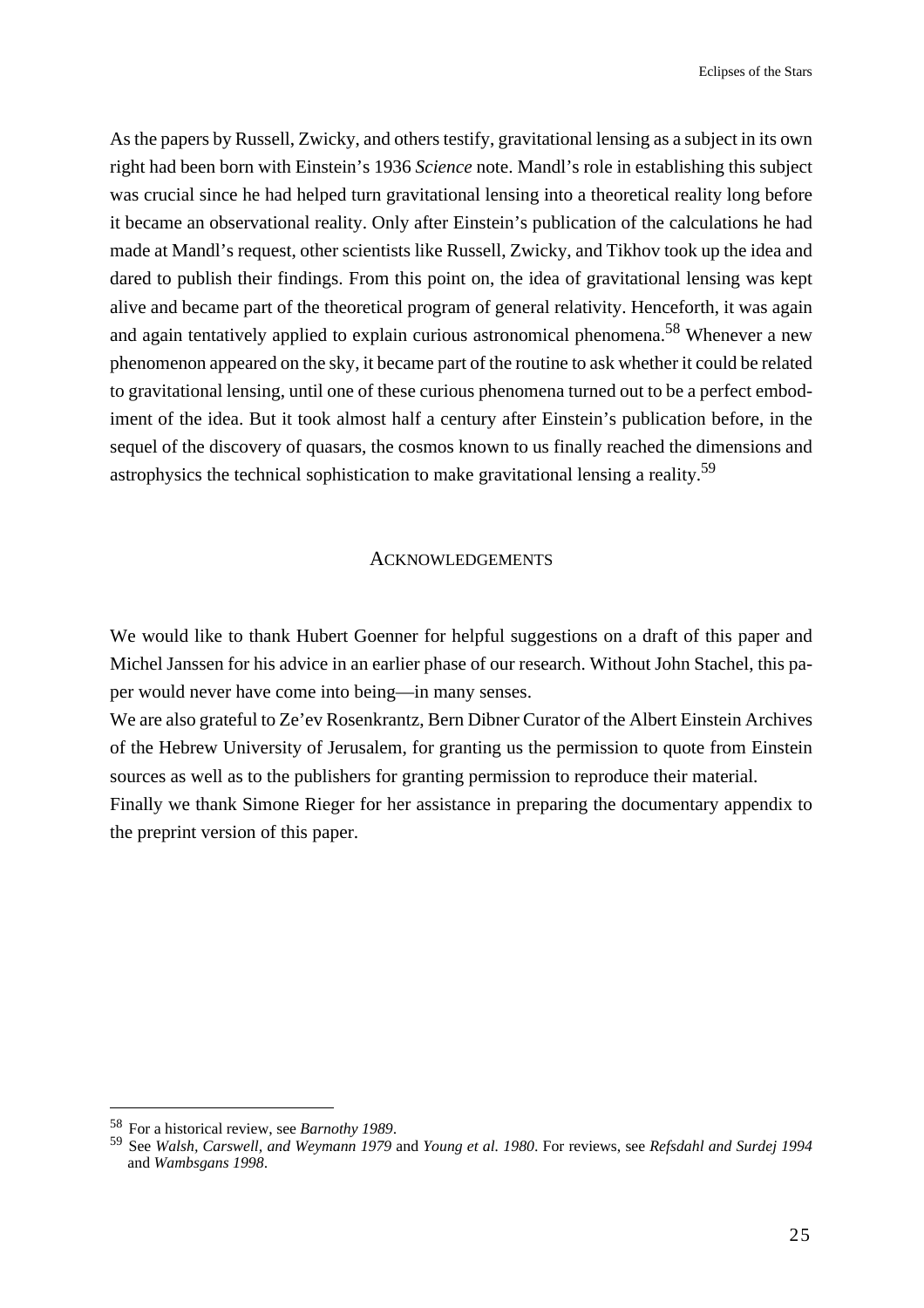As the papers by Russell, Zwicky, and others testify, gravitational lensing as a subject in its own right had been born with Einstein's 1936 *Science* note. Mandl's role in establishing this subject was crucial since he had helped turn gravitational lensing into a theoretical reality long before it became an observational reality. Only after Einstein's publication of the calculations he had made at Mandl's request, other scientists like Russell, Zwicky, and Tikhov took up the idea and dared to publish their findings. From this point on, the idea of gravitational lensing was kept alive and became part of the theoretical program of general relativity. Henceforth, it was again and again tentatively applied to explain curious astronomical phenomena.58 Whenever a new phenomenon appeared on the sky, it became part of the routine to ask whether it could be related to gravitational lensing, until one of these curious phenomena turned out to be a perfect embodiment of the idea. But it took almost half a century after Einstein's publication before, in the sequel of the discovery of quasars, the cosmos known to us finally reached the dimensions and astrophysics the technical sophistication to make gravitational lensing a reality.<sup>59</sup>

## **ACKNOWLEDGEMENTS**

We would like to thank Hubert Goenner for helpful suggestions on a draft of this paper and Michel Janssen for his advice in an earlier phase of our research. Without John Stachel, this paper would never have come into being—in many senses.

We are also grateful to Ze'ev Rosenkrantz, Bern Dibner Curator of the Albert Einstein Archives of the Hebrew University of Jerusalem, for granting us the permission to quote from Einstein sources as well as to the publishers for granting permission to reproduce their material.

Finally we thank Simone Rieger for her assistance in preparing the documentary appendix to the preprint version of this paper.

<sup>58</sup> For a historical review, see *Barnothy 1989*. 59 See *Walsh, Carswell, and Weymann 1979* and *Young et al. 1980*. For reviews, see *Refsdahl and Surdej 1994* and *Wambsgans 1998*.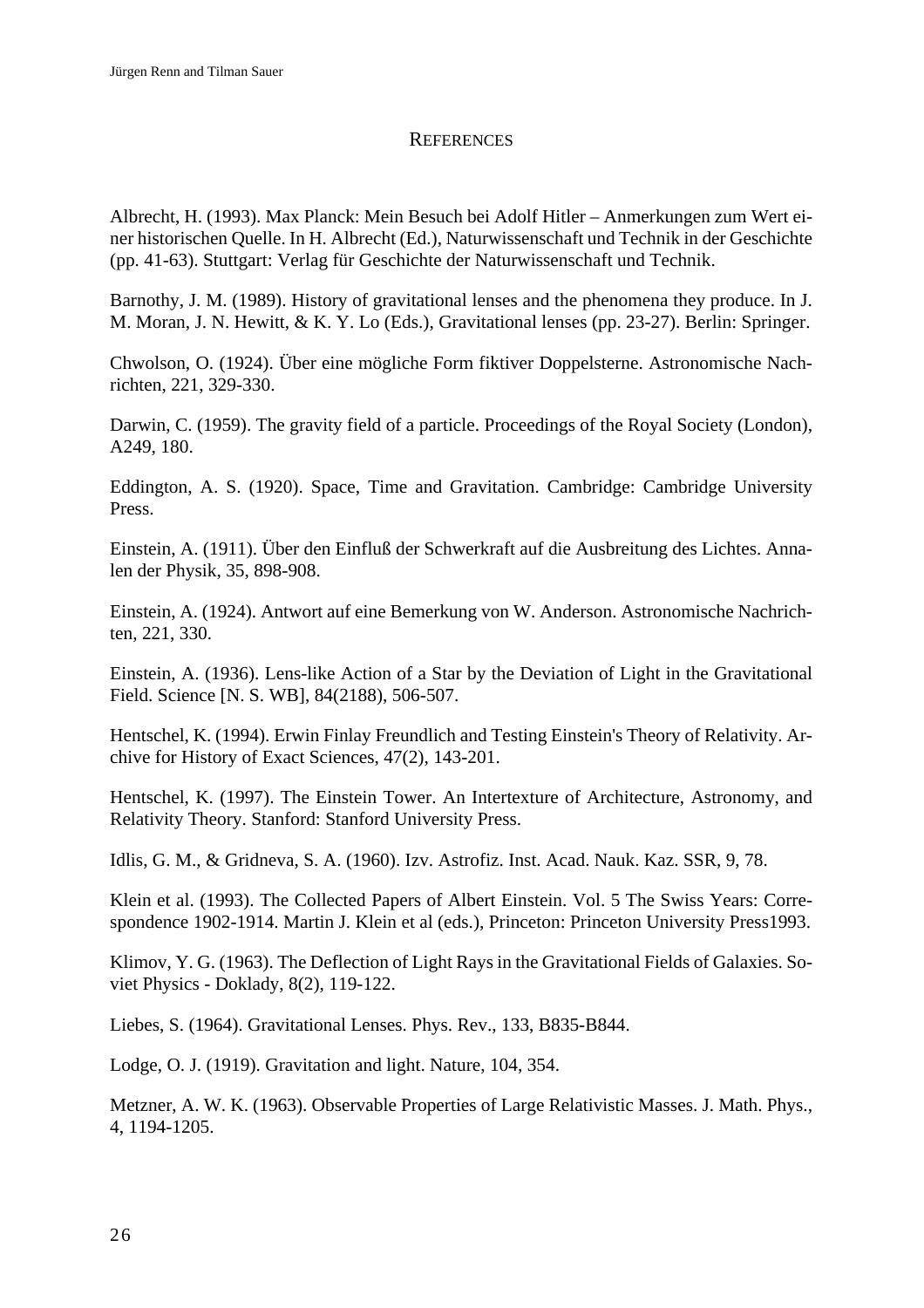#### **REFERENCES**

Albrecht, H. (1993). Max Planck: Mein Besuch bei Adolf Hitler – Anmerkungen zum Wert einer historischen Quelle. In H. Albrecht (Ed.), Naturwissenschaft und Technik in der Geschichte (pp. 41-63). Stuttgart: Verlag für Geschichte der Naturwissenschaft und Technik.

Barnothy, J. M. (1989). History of gravitational lenses and the phenomena they produce. In J. M. Moran, J. N. Hewitt, & K. Y. Lo (Eds.), Gravitational lenses (pp. 23-27). Berlin: Springer.

Chwolson, O. (1924). Über eine mögliche Form fiktiver Doppelsterne. Astronomische Nachrichten, 221, 329-330.

Darwin, C. (1959). The gravity field of a particle. Proceedings of the Royal Society (London), A249, 180.

Eddington, A. S. (1920). Space, Time and Gravitation. Cambridge: Cambridge University Press.

Einstein, A. (1911). Über den Einfluß der Schwerkraft auf die Ausbreitung des Lichtes. Annalen der Physik, 35, 898-908.

Einstein, A. (1924). Antwort auf eine Bemerkung von W. Anderson. Astronomische Nachrichten, 221, 330.

Einstein, A. (1936). Lens-like Action of a Star by the Deviation of Light in the Gravitational Field. Science [N. S. WB], 84(2188), 506-507.

Hentschel, K. (1994). Erwin Finlay Freundlich and Testing Einstein's Theory of Relativity. Archive for History of Exact Sciences, 47(2), 143-201.

Hentschel, K. (1997). The Einstein Tower. An Intertexture of Architecture, Astronomy, and Relativity Theory. Stanford: Stanford University Press.

Idlis, G. M., & Gridneva, S. A. (1960). Izv. Astrofiz. Inst. Acad. Nauk. Kaz. SSR, 9, 78.

Klein et al. (1993). The Collected Papers of Albert Einstein. Vol. 5 The Swiss Years: Correspondence 1902-1914. Martin J. Klein et al (eds.), Princeton: Princeton University Press1993.

Klimov, Y. G. (1963). The Deflection of Light Rays in the Gravitational Fields of Galaxies. Soviet Physics - Doklady, 8(2), 119-122.

Liebes, S. (1964). Gravitational Lenses. Phys. Rev., 133, B835-B844.

Lodge, O. J. (1919). Gravitation and light. Nature, 104, 354.

Metzner, A. W. K. (1963). Observable Properties of Large Relativistic Masses. J. Math. Phys., 4, 1194-1205.